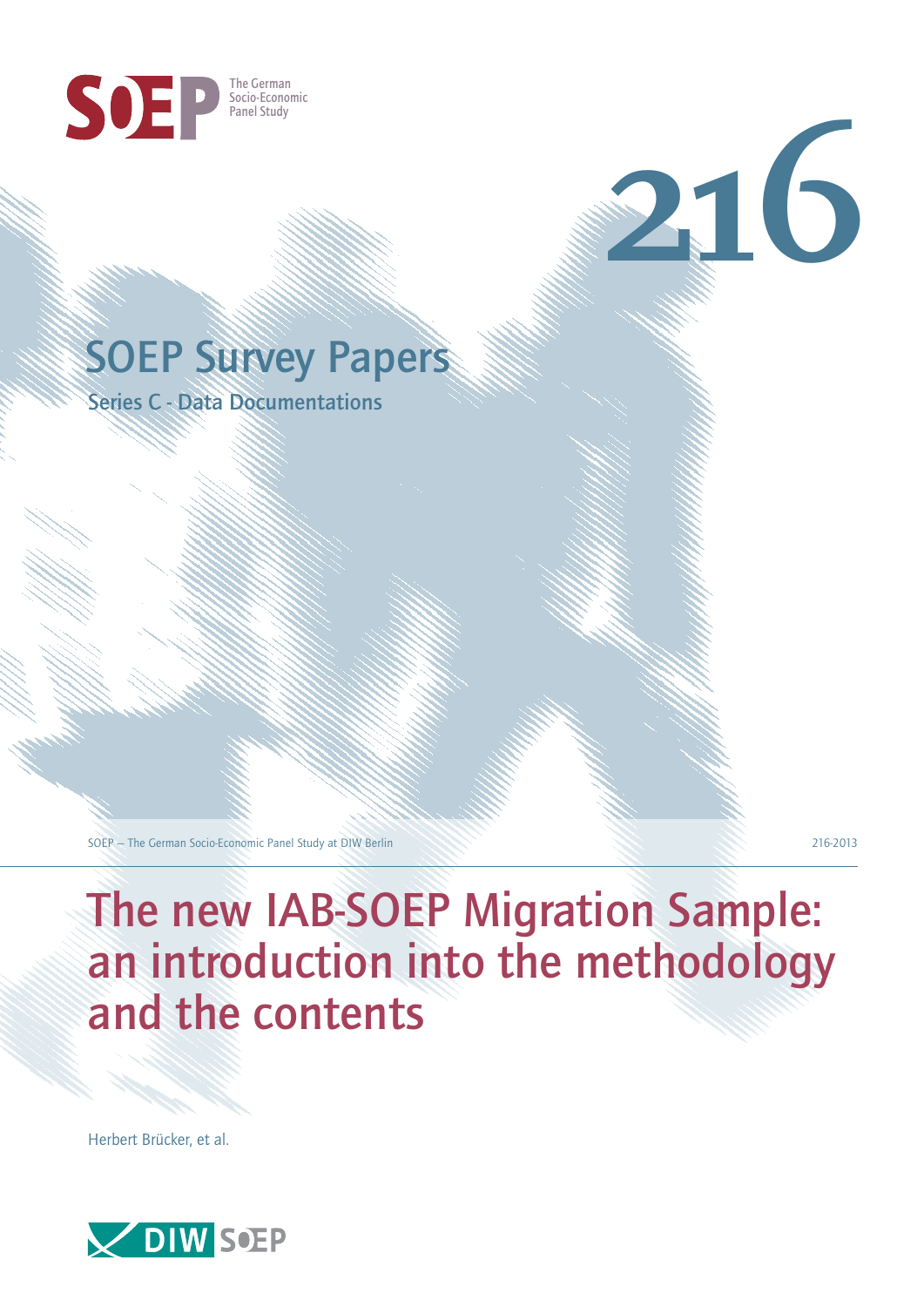

## SOEP Survey Papers

Series C - Data Documentations

SOEP – The German Socio-Economic Panel Study at DIW Berlin 216-2013

**216**

# The new IAB-SOEP Migration Sample: an introduction into the methodology and the contents

Herbert Brücker, et al.

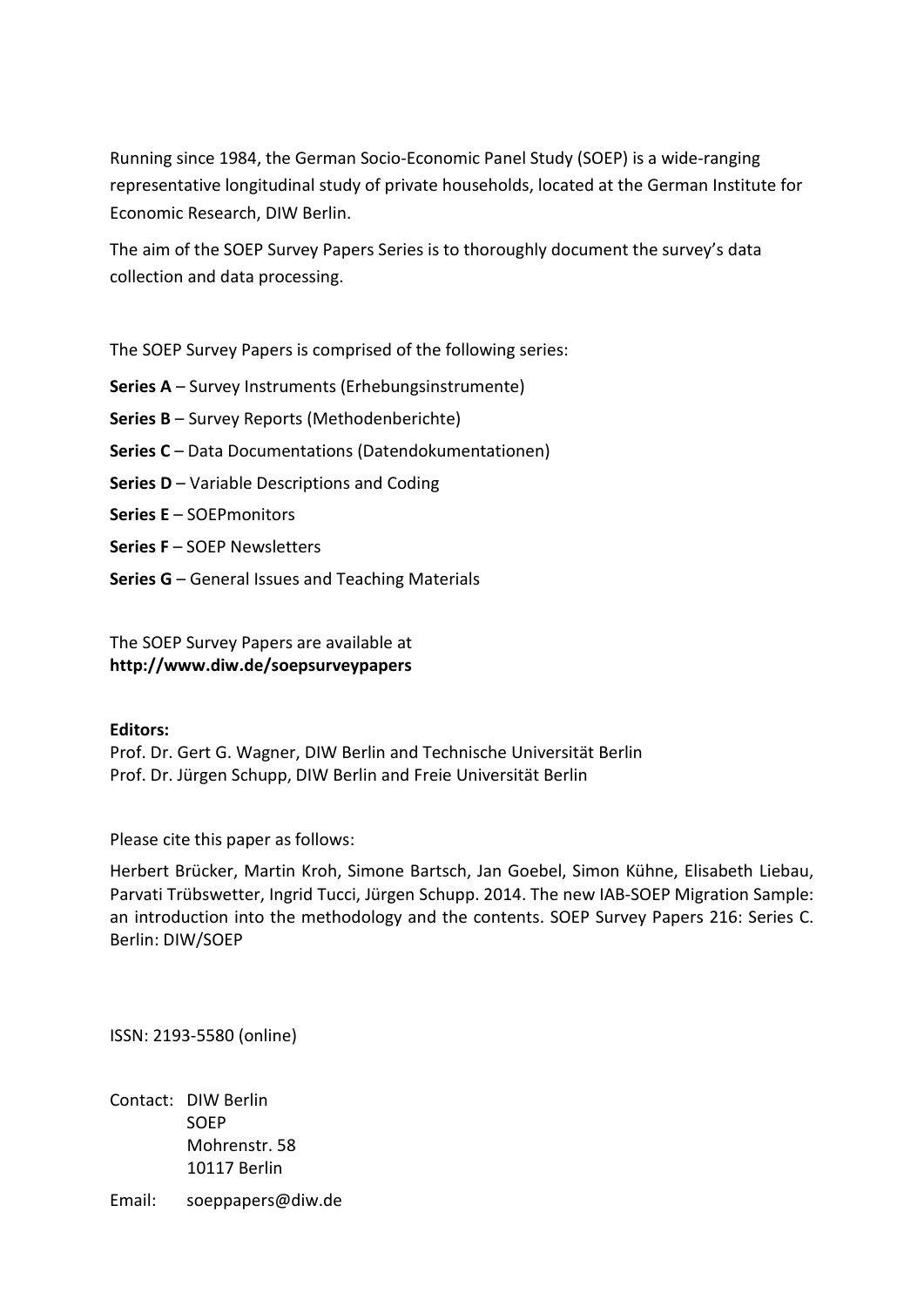Running since 1984, the German Socio-Economic Panel Study (SOEP) is a wide-ranging representative longitudinal study of private households, located at the German Institute for Economic Research, DIW Berlin.

The aim of the SOEP Survey Papers Series is to thoroughly document the survey's data collection and data processing.

The SOEP Survey Papers is comprised of the following series:

- **Series A** Survey Instruments (Erhebungsinstrumente)
- **Series B** Survey Reports (Methodenberichte)
- **Series C** Data Documentations (Datendokumentationen)
- **Series D** Variable Descriptions and Coding
- **Series E** SOEPmonitors
- **Series F** SOEP Newsletters
- **Series G** General Issues and Teaching Materials

The SOEP Survey Papers are available at **http://www.diw.de/soepsurveypapers**

#### **Editors:**

Prof. Dr. Gert G. Wagner, DIW Berlin and Technische Universität Berlin Prof. Dr. Jürgen Schupp, DIW Berlin and Freie Universität Berlin

Please cite this paper as follows:

Herbert Brücker, Martin Kroh, Simone Bartsch, Jan Goebel, Simon Kühne, Elisabeth Liebau, Parvati Trübswetter, Ingrid Tucci, Jürgen Schupp. 2014. The new IAB-SOEP Migration Sample: an introduction into the methodology and the contents. SOEP Survey Papers 216: Series C. Berlin: DIW/SOEP

ISSN: 2193-5580 (online)

Contact: DIW Berlin SOEP Mohrenstr. 58 10117 Berlin

Email: soeppapers@diw.de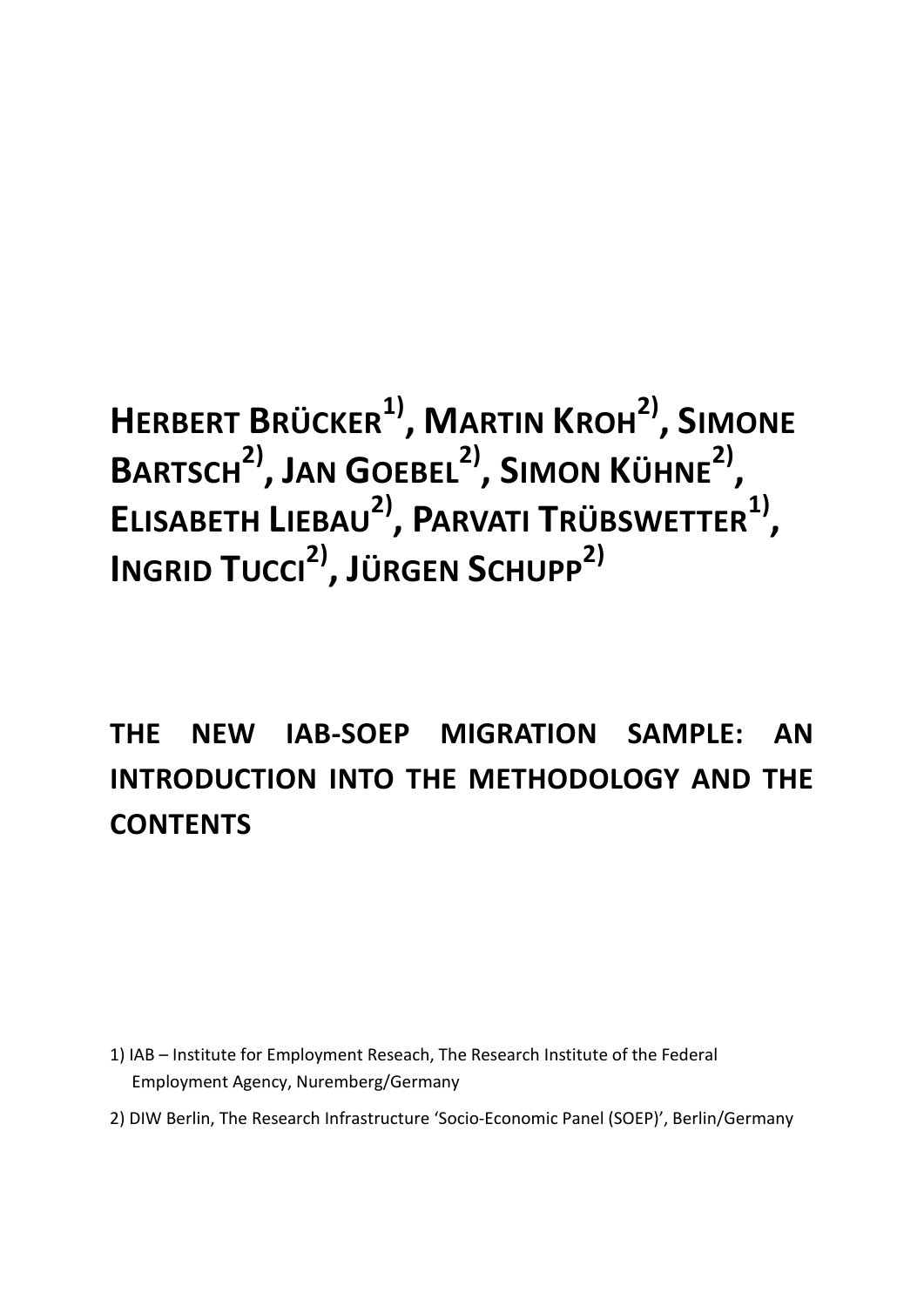**HERBERT BRÜCKER1) , MARTIN KROH2) , SIMONE BARTSCH2) , JAN GOEBEL2) , SIMON KÜHNE2) , ELISABETH LIEBAU2) , PARVATI TRÜBSWETTER1) , INGRID TUCCI2) , JÜRGEN SCHUPP2)**

## **THE NEW IAB-SOEP MIGRATION SAMPLE: AN INTRODUCTION INTO THE METHODOLOGY AND THE CONTENTS**

1) IAB – Institute for Employment Reseach, The Research Institute of the Federal Employment Agency, Nuremberg/Germany

2) DIW Berlin, The Research Infrastructure 'Socio-Economic Panel (SOEP)', Berlin/Germany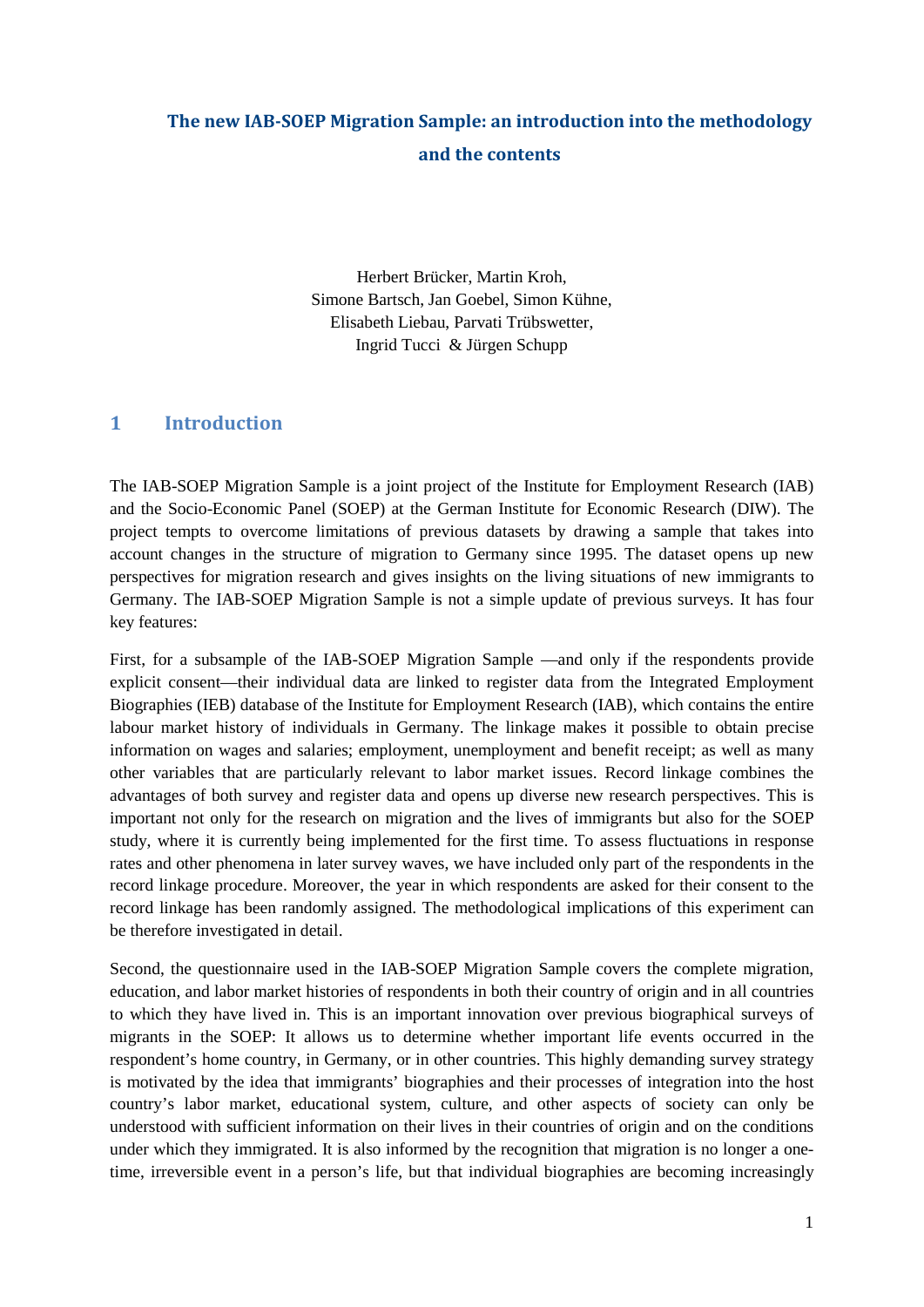### **The new IAB-SOEP Migration Sample: an introduction into the methodology and the contents**

Herbert Brücker, Martin Kroh, Simone Bartsch, Jan Goebel, Simon Kühne, Elisabeth Liebau, Parvati Trübswetter, Ingrid Tucci & Jürgen Schupp

#### **1 Introduction**

The IAB-SOEP Migration Sample is a joint project of the Institute for Employment Research (IAB) and the Socio-Economic Panel (SOEP) at the German Institute for Economic Research (DIW). The project tempts to overcome limitations of previous datasets by drawing a sample that takes into account changes in the structure of migration to Germany since 1995. The dataset opens up new perspectives for migration research and gives insights on the living situations of new immigrants to Germany. The IAB-SOEP Migration Sample is not a simple update of previous surveys. It has four key features:

First, for a subsample of the IAB-SOEP Migration Sample —and only if the respondents provide explicit consent—their individual data are linked to register data from the Integrated Employment Biographies (IEB) database of the Institute for Employment Research (IAB), which contains the entire labour market history of individuals in Germany. The linkage makes it possible to obtain precise information on wages and salaries; employment, unemployment and benefit receipt; as well as many other variables that are particularly relevant to labor market issues. Record linkage combines the advantages of both survey and register data and opens up diverse new research perspectives. This is important not only for the research on migration and the lives of immigrants but also for the SOEP study, where it is currently being implemented for the first time. To assess fluctuations in response rates and other phenomena in later survey waves, we have included only part of the respondents in the record linkage procedure. Moreover, the year in which respondents are asked for their consent to the record linkage has been randomly assigned. The methodological implications of this experiment can be therefore investigated in detail.

Second, the questionnaire used in the IAB-SOEP Migration Sample covers the complete migration, education, and labor market histories of respondents in both their country of origin and in all countries to which they have lived in. This is an important innovation over previous biographical surveys of migrants in the SOEP: It allows us to determine whether important life events occurred in the respondent's home country, in Germany, or in other countries. This highly demanding survey strategy is motivated by the idea that immigrants' biographies and their processes of integration into the host country's labor market, educational system, culture, and other aspects of society can only be understood with sufficient information on their lives in their countries of origin and on the conditions under which they immigrated. It is also informed by the recognition that migration is no longer a onetime, irreversible event in a person's life, but that individual biographies are becoming increasingly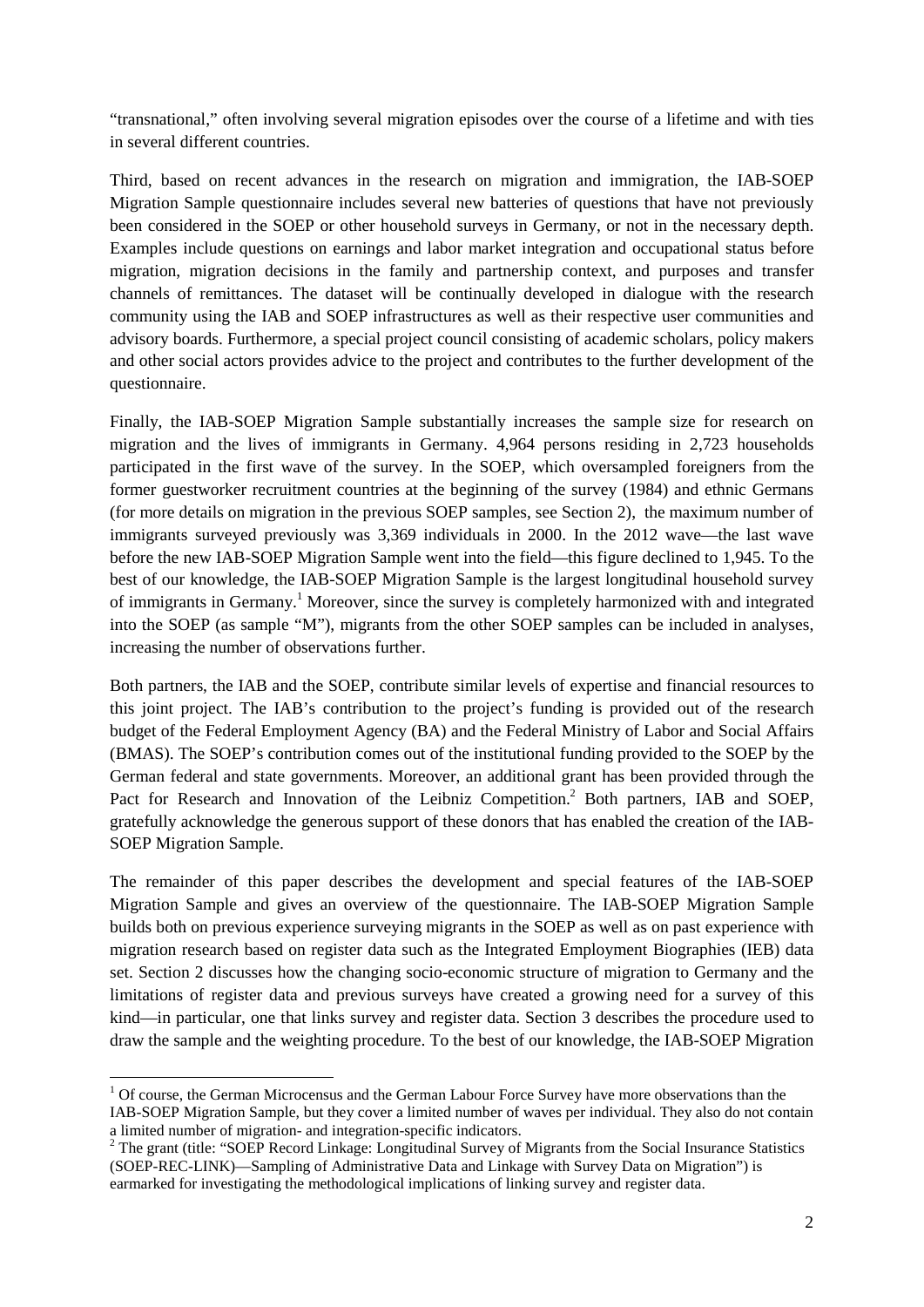"transnational," often involving several migration episodes over the course of a lifetime and with ties in several different countries.

Third, based on recent advances in the research on migration and immigration, the IAB-SOEP Migration Sample questionnaire includes several new batteries of questions that have not previously been considered in the SOEP or other household surveys in Germany, or not in the necessary depth. Examples include questions on earnings and labor market integration and occupational status before migration, migration decisions in the family and partnership context, and purposes and transfer channels of remittances. The dataset will be continually developed in dialogue with the research community using the IAB and SOEP infrastructures as well as their respective user communities and advisory boards. Furthermore, a special project council consisting of academic scholars, policy makers and other social actors provides advice to the project and contributes to the further development of the questionnaire.

Finally, the IAB-SOEP Migration Sample substantially increases the sample size for research on migration and the lives of immigrants in Germany. 4,964 persons residing in 2,723 households participated in the first wave of the survey. In the SOEP, which oversampled foreigners from the former guestworker recruitment countries at the beginning of the survey (1984) and ethnic Germans (for more details on migration in the previous SOEP samples, see Section 2), the maximum number of immigrants surveyed previously was 3,369 individuals in 2000. In the 2012 wave—the last wave before the new IAB-SOEP Migration Sample went into the field—this figure declined to 1,945. To the best of our knowledge, the IAB-SOEP Migration Sample is the largest longitudinal household survey of immigrants in Germany.1 Moreover, since the survey is completely harmonized with and integrated into the SOEP (as sample "M"), migrants from the other SOEP samples can be included in analyses, increasing the number of observations further.

Both partners, the IAB and the SOEP, contribute similar levels of expertise and financial resources to this joint project. The IAB's contribution to the project's funding is provided out of the research budget of the Federal Employment Agency (BA) and the Federal Ministry of Labor and Social Affairs (BMAS). The SOEP's contribution comes out of the institutional funding provided to the SOEP by the German federal and state governments. Moreover, an additional grant has been provided through the Pact for Research and Innovation of the Leibniz Competition.<sup>2</sup> Both partners, IAB and SOEP, gratefully acknowledge the generous support of these donors that has enabled the creation of the IAB-SOEP Migration Sample.

The remainder of this paper describes the development and special features of the IAB-SOEP Migration Sample and gives an overview of the questionnaire. The IAB-SOEP Migration Sample builds both on previous experience surveying migrants in the SOEP as well as on past experience with migration research based on register data such as the Integrated Employment Biographies (IEB) data set. Section 2 discusses how the changing socio-economic structure of migration to Germany and the limitations of register data and previous surveys have created a growing need for a survey of this kind—in particular, one that links survey and register data. Section 3 describes the procedure used to draw the sample and the weighting procedure. To the best of our knowledge, the IAB-SOEP Migration

 $1$  Of course, the German Microcensus and the German Labour Force Survey have more observations than the IAB-SOEP Migration Sample, but they cover a limited number of waves per individual. They also do not contain

 $2$  The grant (title: "SOEP Record Linkage: Longitudinal Survey of Migrants from the Social Insurance Statistics (SOEP-REC-LINK)—Sampling of Administrative Data and Linkage with Survey Data on Migration") is earmarked for investigating the methodological implications of linking survey and register data.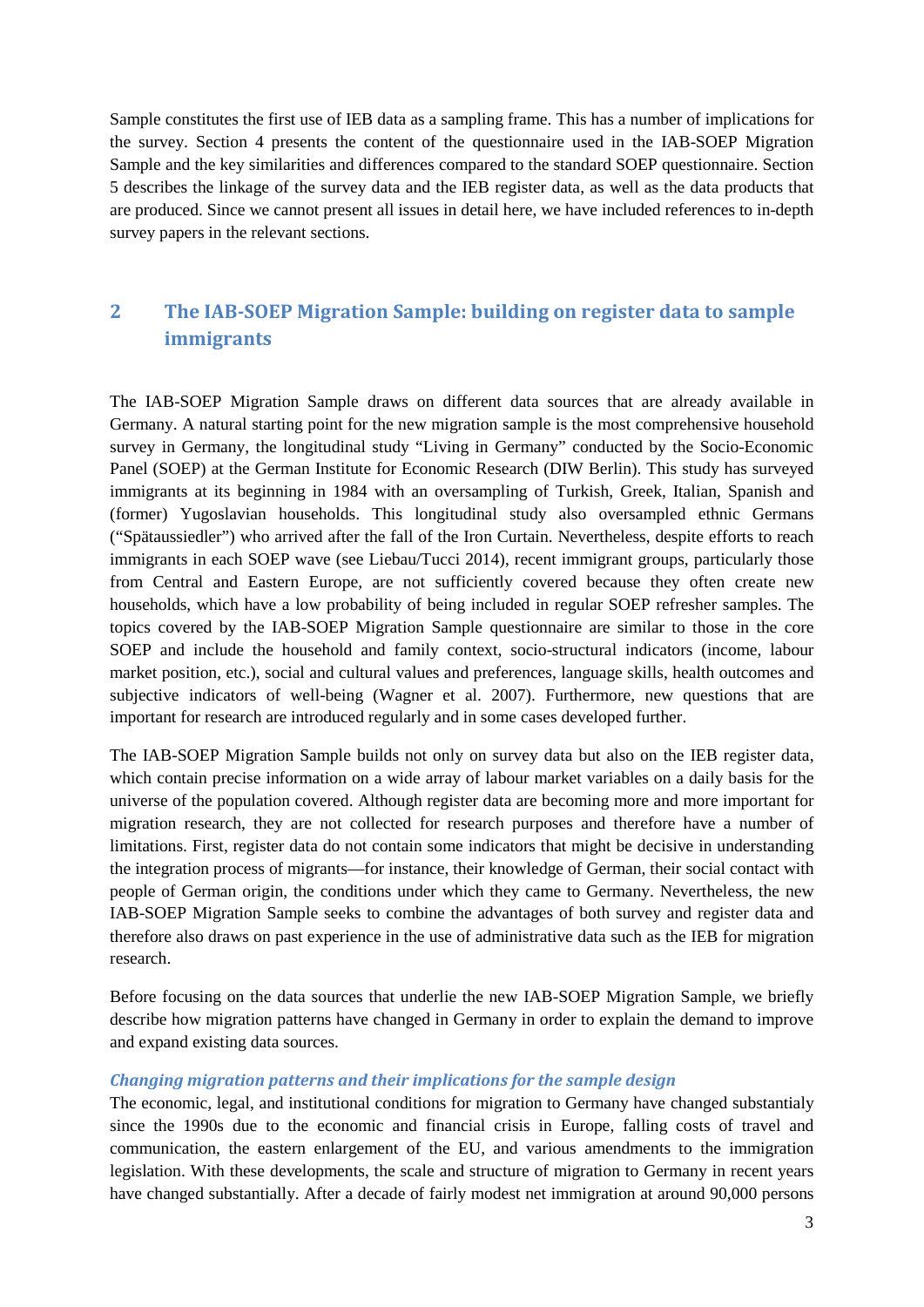Sample constitutes the first use of IEB data as a sampling frame. This has a number of implications for the survey. Section 4 presents the content of the questionnaire used in the IAB-SOEP Migration Sample and the key similarities and differences compared to the standard SOEP questionnaire. Section 5 describes the linkage of the survey data and the IEB register data, as well as the data products that are produced. Since we cannot present all issues in detail here, we have included references to in-depth survey papers in the relevant sections.

### **2 The IAB-SOEP Migration Sample: building on register data to sample immigrants**

The IAB-SOEP Migration Sample draws on different data sources that are already available in Germany. A natural starting point for the new migration sample is the most comprehensive household survey in Germany, the longitudinal study "Living in Germany" conducted by the Socio-Economic Panel (SOEP) at the German Institute for Economic Research (DIW Berlin). This study has surveyed immigrants at its beginning in 1984 with an oversampling of Turkish, Greek, Italian, Spanish and (former) Yugoslavian households. This longitudinal study also oversampled ethnic Germans ("Spätaussiedler") who arrived after the fall of the Iron Curtain. Nevertheless, despite efforts to reach immigrants in each SOEP wave (see Liebau/Tucci 2014), recent immigrant groups, particularly those from Central and Eastern Europe, are not sufficiently covered because they often create new households, which have a low probability of being included in regular SOEP refresher samples. The topics covered by the IAB-SOEP Migration Sample questionnaire are similar to those in the core SOEP and include the household and family context, socio-structural indicators (income, labour market position, etc.), social and cultural values and preferences, language skills, health outcomes and subjective indicators of well-being (Wagner et al. 2007). Furthermore, new questions that are important for research are introduced regularly and in some cases developed further.

The IAB-SOEP Migration Sample builds not only on survey data but also on the IEB register data, which contain precise information on a wide array of labour market variables on a daily basis for the universe of the population covered. Although register data are becoming more and more important for migration research, they are not collected for research purposes and therefore have a number of limitations. First, register data do not contain some indicators that might be decisive in understanding the integration process of migrants—for instance, their knowledge of German, their social contact with people of German origin, the conditions under which they came to Germany. Nevertheless, the new IAB-SOEP Migration Sample seeks to combine the advantages of both survey and register data and therefore also draws on past experience in the use of administrative data such as the IEB for migration research.

Before focusing on the data sources that underlie the new IAB-SOEP Migration Sample, we briefly describe how migration patterns have changed in Germany in order to explain the demand to improve and expand existing data sources.

#### *Changing migration patterns and their implications for the sample design*

The economic, legal, and institutional conditions for migration to Germany have changed substantialy since the 1990s due to the economic and financial crisis in Europe, falling costs of travel and communication, the eastern enlargement of the EU, and various amendments to the immigration legislation. With these developments, the scale and structure of migration to Germany in recent years have changed substantially. After a decade of fairly modest net immigration at around 90,000 persons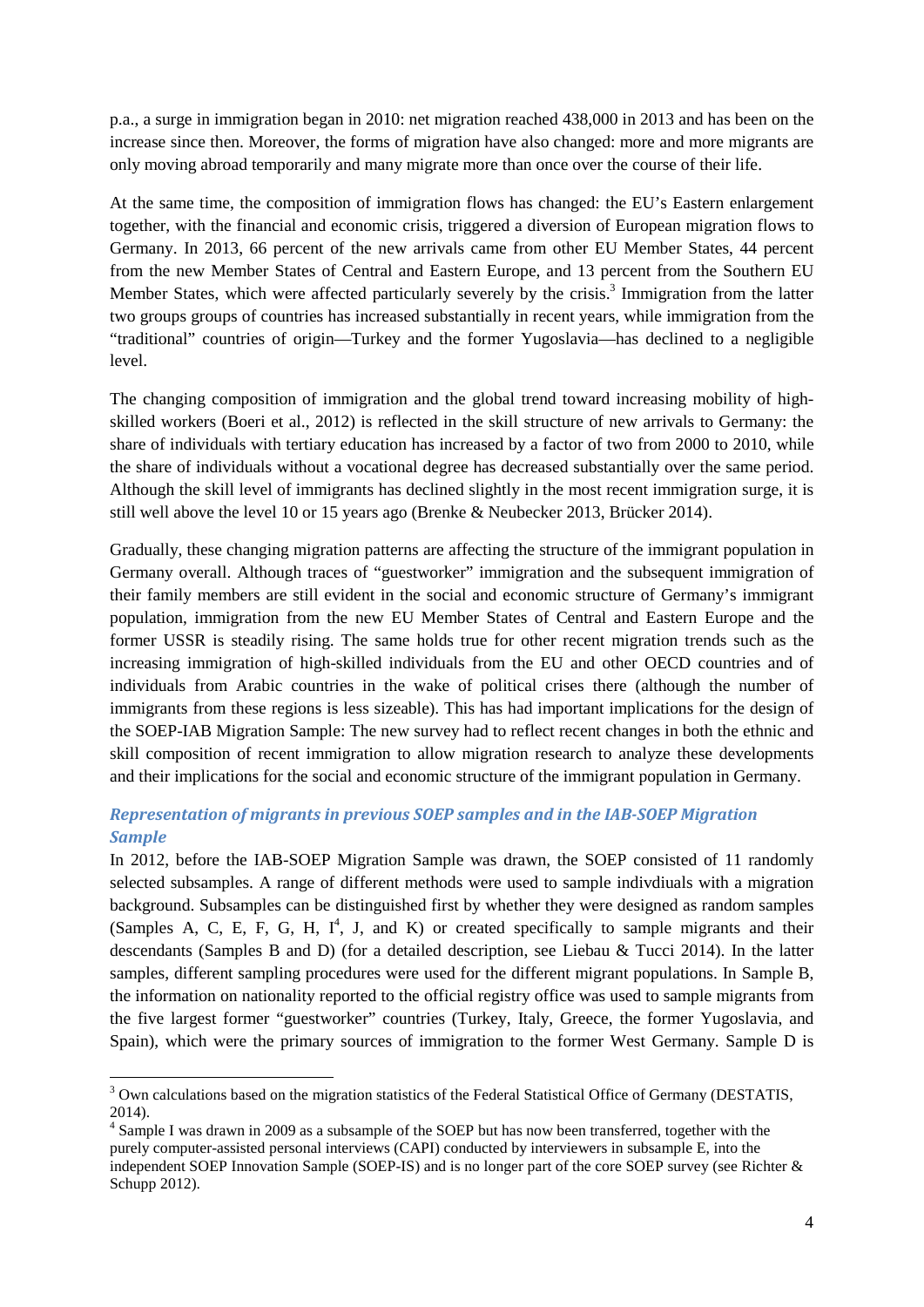p.a., a surge in immigration began in 2010: net migration reached 438,000 in 2013 and has been on the increase since then. Moreover, the forms of migration have also changed: more and more migrants are only moving abroad temporarily and many migrate more than once over the course of their life.

At the same time, the composition of immigration flows has changed: the EU's Eastern enlargement together, with the financial and economic crisis, triggered a diversion of European migration flows to Germany. In 2013, 66 percent of the new arrivals came from other EU Member States, 44 percent from the new Member States of Central and Eastern Europe, and 13 percent from the Southern EU Member States, which were affected particularly severely by the crisis.<sup>3</sup> Immigration from the latter two groups groups of countries has increased substantially in recent years, while immigration from the "traditional" countries of origin—Turkey and the former Yugoslavia—has declined to a negligible level.

The changing composition of immigration and the global trend toward increasing mobility of highskilled workers (Boeri et al., 2012) is reflected in the skill structure of new arrivals to Germany: the share of individuals with tertiary education has increased by a factor of two from 2000 to 2010, while the share of individuals without a vocational degree has decreased substantially over the same period. Although the skill level of immigrants has declined slightly in the most recent immigration surge, it is still well above the level 10 or 15 years ago (Brenke & Neubecker 2013, Brücker 2014).

Gradually, these changing migration patterns are affecting the structure of the immigrant population in Germany overall. Although traces of "guestworker" immigration and the subsequent immigration of their family members are still evident in the social and economic structure of Germany's immigrant population, immigration from the new EU Member States of Central and Eastern Europe and the former USSR is steadily rising. The same holds true for other recent migration trends such as the increasing immigration of high-skilled individuals from the EU and other OECD countries and of individuals from Arabic countries in the wake of political crises there (although the number of immigrants from these regions is less sizeable). This has had important implications for the design of the SOEP-IAB Migration Sample: The new survey had to reflect recent changes in both the ethnic and skill composition of recent immigration to allow migration research to analyze these developments and their implications for the social and economic structure of the immigrant population in Germany.

#### *Representation of migrants in previous SOEP samples and in the IAB-SOEP Migration Sample*

In 2012, before the IAB-SOEP Migration Sample was drawn, the SOEP consisted of 11 randomly selected subsamples. A range of different methods were used to sample indivdiuals with a migration background. Subsamples can be distinguished first by whether they were designed as random samples (Samples A, C, E, F, G, H,  $I^4$ , J, and K) or created specifically to sample migrants and their descendants (Samples B and D) (for a detailed description, see Liebau & Tucci 2014). In the latter samples, different sampling procedures were used for the different migrant populations. In Sample B, the information on nationality reported to the official registry office was used to sample migrants from the five largest former "guestworker" countries (Turkey, Italy, Greece, the former Yugoslavia, and Spain), which were the primary sources of immigration to the former West Germany. Sample D is

<sup>&</sup>lt;sup>3</sup> Own calculations based on the migration statistics of the Federal Statistical Office of Germany (DESTATIS, 2014).

<sup>4</sup> Sample I was drawn in 2009 as a subsample of the SOEP but has now been transferred, together with the purely computer-assisted personal interviews (CAPI) conducted by interviewers in subsample E, into the independent SOEP Innovation Sample (SOEP-IS) and is no longer part of the core SOEP survey (see Richter & Schupp 2012).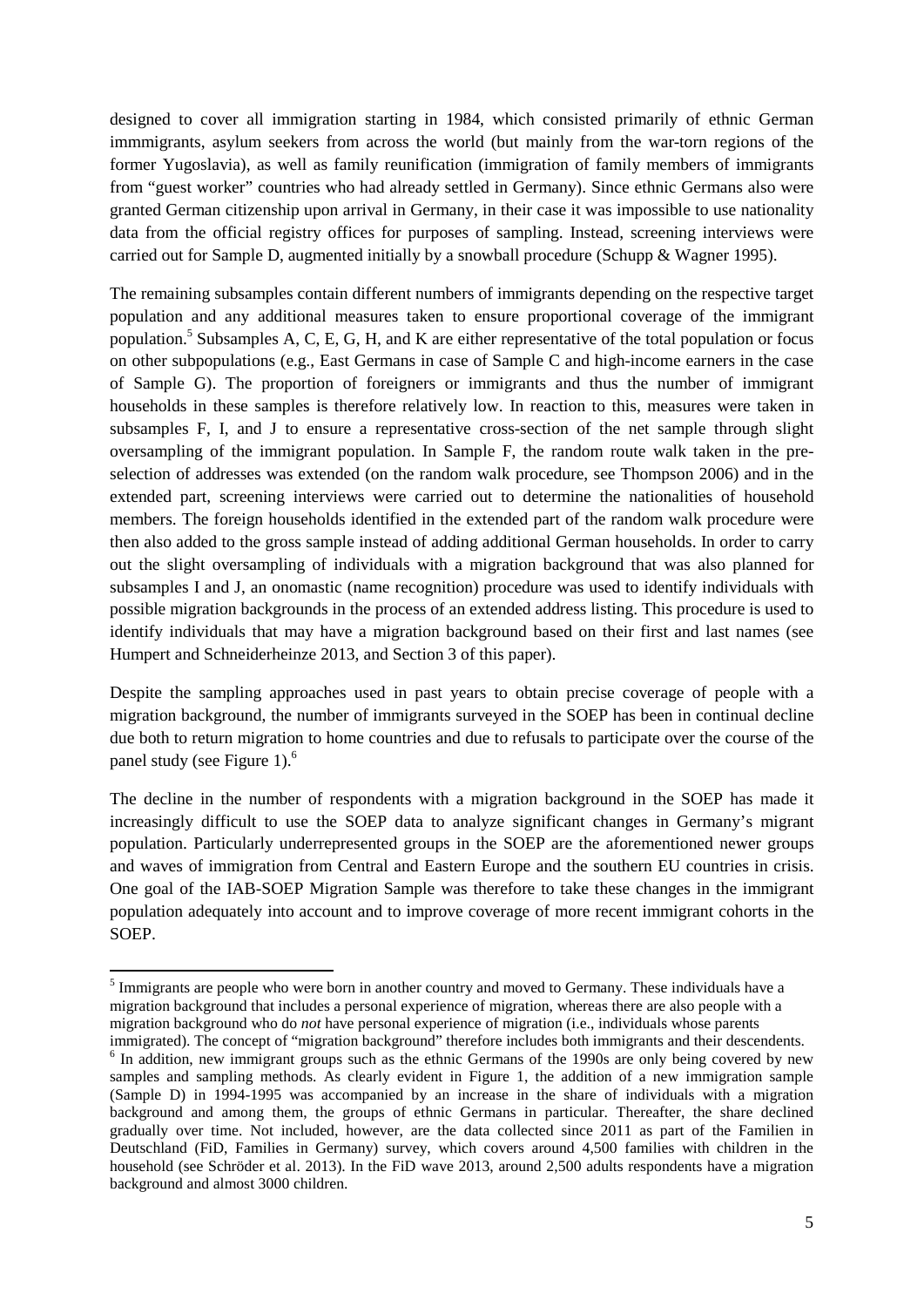designed to cover all immigration starting in 1984, which consisted primarily of ethnic German immmigrants, asylum seekers from across the world (but mainly from the war-torn regions of the former Yugoslavia), as well as family reunification (immigration of family members of immigrants from "guest worker" countries who had already settled in Germany). Since ethnic Germans also were granted German citizenship upon arrival in Germany, in their case it was impossible to use nationality data from the official registry offices for purposes of sampling. Instead, screening interviews were carried out for Sample D, augmented initially by a snowball procedure (Schupp & Wagner 1995).

The remaining subsamples contain different numbers of immigrants depending on the respective target population and any additional measures taken to ensure proportional coverage of the immigrant population.<sup>5</sup> Subsamples A, C, E, G, H, and K are either representative of the total population or focus on other subpopulations (e.g., East Germans in case of Sample C and high-income earners in the case of Sample G). The proportion of foreigners or immigrants and thus the number of immigrant households in these samples is therefore relatively low. In reaction to this, measures were taken in subsamples F, I, and J to ensure a representative cross-section of the net sample through slight oversampling of the immigrant population. In Sample F, the random route walk taken in the preselection of addresses was extended (on the random walk procedure, see Thompson 2006) and in the extended part, screening interviews were carried out to determine the nationalities of household members. The foreign households identified in the extended part of the random walk procedure were then also added to the gross sample instead of adding additional German households. In order to carry out the slight oversampling of individuals with a migration background that was also planned for subsamples I and J, an onomastic (name recognition) procedure was used to identify individuals with possible migration backgrounds in the process of an extended address listing. This procedure is used to identify individuals that may have a migration background based on their first and last names (see Humpert and Schneiderheinze 2013, and Section 3 of this paper).

Despite the sampling approaches used in past years to obtain precise coverage of people with a migration background, the number of immigrants surveyed in the SOEP has been in continual decline due both to return migration to home countries and due to refusals to participate over the course of the panel study (see Figure 1).<sup>6</sup>

The decline in the number of respondents with a migration background in the SOEP has made it increasingly difficult to use the SOEP data to analyze significant changes in Germany's migrant population. Particularly underrepresented groups in the SOEP are the aforementioned newer groups and waves of immigration from Central and Eastern Europe and the southern EU countries in crisis. One goal of the IAB-SOEP Migration Sample was therefore to take these changes in the immigrant population adequately into account and to improve coverage of more recent immigrant cohorts in the SOEP.

<sup>&</sup>lt;sup>5</sup> Immigrants are people who were born in another country and moved to Germany. These individuals have a migration background that includes a personal experience of migration, whereas there are also people with a migration background who do *not* have personal experience of migration (i.e., individuals whose parents

immigrated). The concept of "migration background" therefore includes both immigrants and their descendents. <sup>6</sup> In addition, new immigrant groups such as the ethnic Germans of the 1990s are only being covered by new samples and sampling methods. As clearly evident in Figure 1, the addition of a new immigration sample (Sample D) in 1994-1995 was accompanied by an increase in the share of individuals with a migration background and among them, the groups of ethnic Germans in particular. Thereafter, the share declined gradually over time. Not included, however, are the data collected since 2011 as part of the Familien in Deutschland (FiD, Families in Germany) survey, which covers around 4,500 families with children in the household (see Schröder et al. 2013). In the FiD wave 2013, around 2,500 adults respondents have a migration background and almost 3000 children.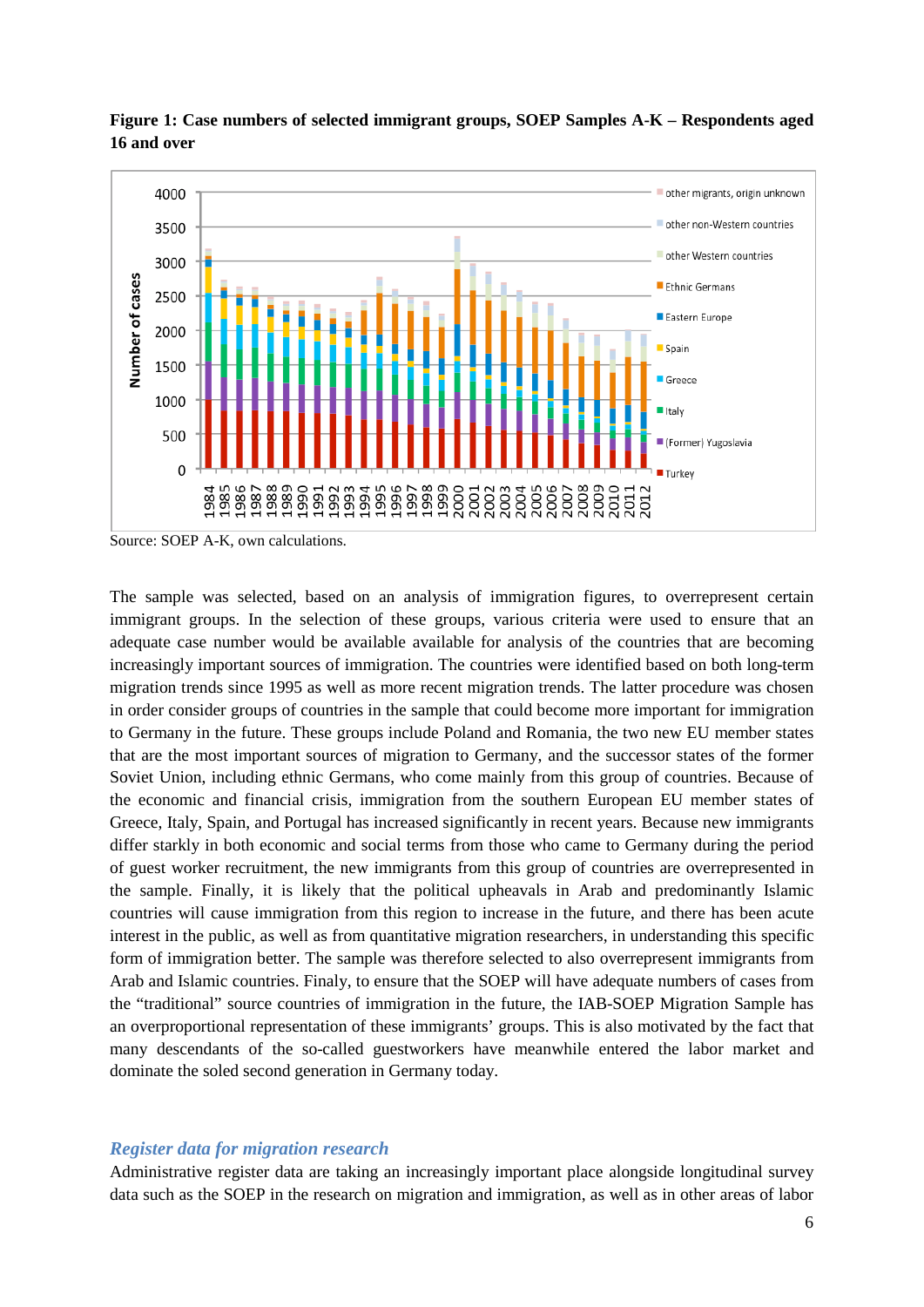

**Figure 1: Case numbers of selected immigrant groups, SOEP Samples A-K – Respondents aged 16 and over** 

Source: SOEP A-K, own calculations.

The sample was selected, based on an analysis of immigration figures, to overrepresent certain immigrant groups. In the selection of these groups, various criteria were used to ensure that an adequate case number would be available available for analysis of the countries that are becoming increasingly important sources of immigration. The countries were identified based on both long-term migration trends since 1995 as well as more recent migration trends. The latter procedure was chosen in order consider groups of countries in the sample that could become more important for immigration to Germany in the future. These groups include Poland and Romania, the two new EU member states that are the most important sources of migration to Germany, and the successor states of the former Soviet Union, including ethnic Germans, who come mainly from this group of countries. Because of the economic and financial crisis, immigration from the southern European EU member states of Greece, Italy, Spain, and Portugal has increased significantly in recent years. Because new immigrants differ starkly in both economic and social terms from those who came to Germany during the period of guest worker recruitment, the new immigrants from this group of countries are overrepresented in the sample. Finally, it is likely that the political upheavals in Arab and predominantly Islamic countries will cause immigration from this region to increase in the future, and there has been acute interest in the public, as well as from quantitative migration researchers, in understanding this specific form of immigration better. The sample was therefore selected to also overrepresent immigrants from Arab and Islamic countries. Finaly, to ensure that the SOEP will have adequate numbers of cases from the "traditional" source countries of immigration in the future, the IAB-SOEP Migration Sample has an overproportional representation of these immigrants' groups. This is also motivated by the fact that many descendants of the so-called guestworkers have meanwhile entered the labor market and dominate the soled second generation in Germany today.

#### *Register data for migration research*

Administrative register data are taking an increasingly important place alongside longitudinal survey data such as the SOEP in the research on migration and immigration, as well as in other areas of labor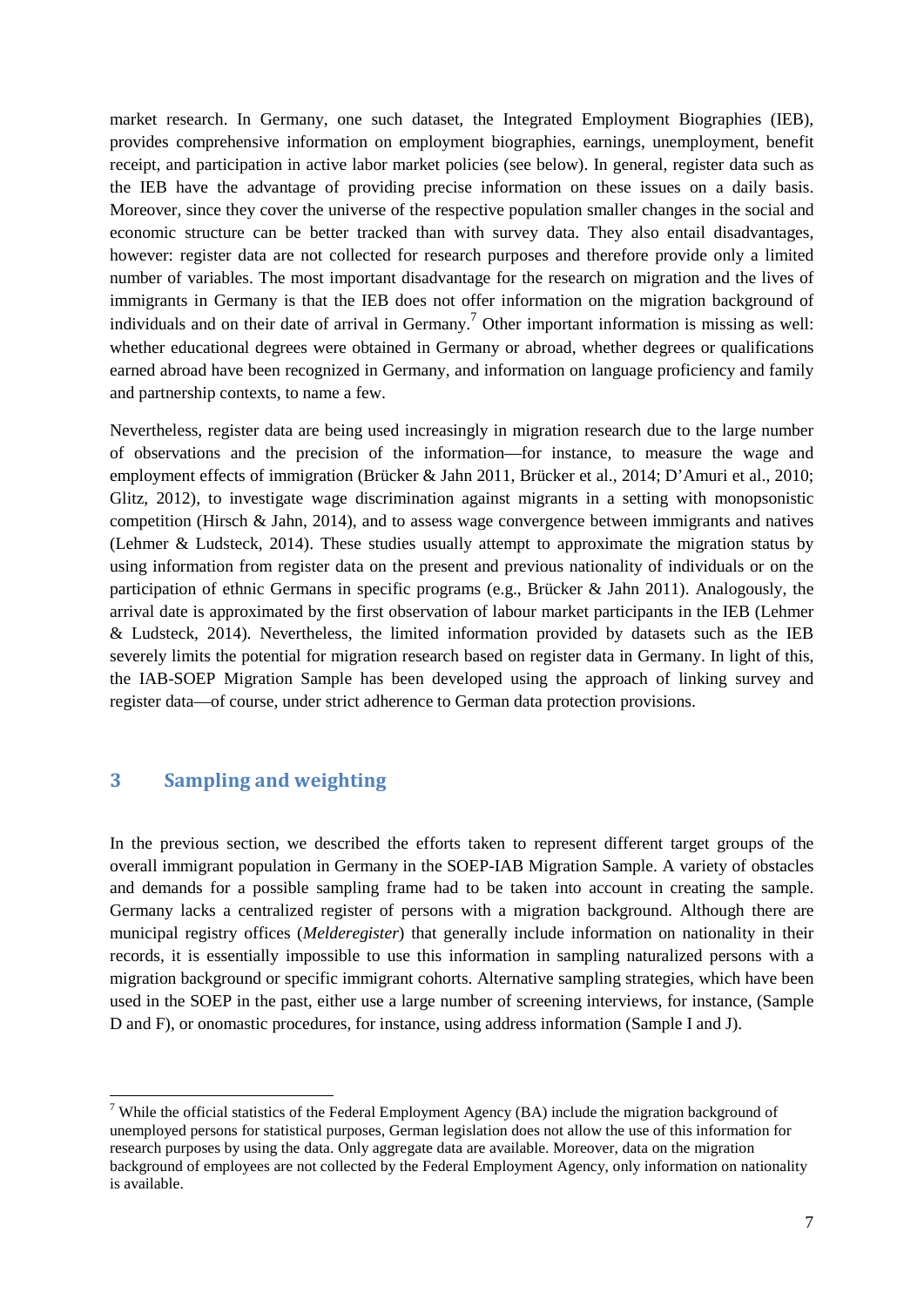market research. In Germany, one such dataset, the Integrated Employment Biographies (IEB), provides comprehensive information on employment biographies, earnings, unemployment, benefit receipt, and participation in active labor market policies (see below). In general, register data such as the IEB have the advantage of providing precise information on these issues on a daily basis. Moreover, since they cover the universe of the respective population smaller changes in the social and economic structure can be better tracked than with survey data. They also entail disadvantages, however: register data are not collected for research purposes and therefore provide only a limited number of variables. The most important disadvantage for the research on migration and the lives of immigrants in Germany is that the IEB does not offer information on the migration background of individuals and on their date of arrival in Germany.<sup>7</sup> Other important information is missing as well: whether educational degrees were obtained in Germany or abroad, whether degrees or qualifications earned abroad have been recognized in Germany, and information on language proficiency and family and partnership contexts, to name a few.

Nevertheless, register data are being used increasingly in migration research due to the large number of observations and the precision of the information—for instance, to measure the wage and employment effects of immigration (Brücker & Jahn 2011, Brücker et al., 2014; D'Amuri et al., 2010; Glitz, 2012), to investigate wage discrimination against migrants in a setting with monopsonistic competition (Hirsch & Jahn, 2014), and to assess wage convergence between immigrants and natives (Lehmer & Ludsteck, 2014). These studies usually attempt to approximate the migration status by using information from register data on the present and previous nationality of individuals or on the participation of ethnic Germans in specific programs (e.g., Brücker & Jahn 2011). Analogously, the arrival date is approximated by the first observation of labour market participants in the IEB (Lehmer & Ludsteck, 2014). Nevertheless, the limited information provided by datasets such as the IEB severely limits the potential for migration research based on register data in Germany. In light of this, the IAB-SOEP Migration Sample has been developed using the approach of linking survey and register data—of course, under strict adherence to German data protection provisions.

#### **3 Sampling and weighting**

In the previous section, we described the efforts taken to represent different target groups of the overall immigrant population in Germany in the SOEP-IAB Migration Sample. A variety of obstacles and demands for a possible sampling frame had to be taken into account in creating the sample. Germany lacks a centralized register of persons with a migration background. Although there are municipal registry offices (*Melderegister*) that generally include information on nationality in their records, it is essentially impossible to use this information in sampling naturalized persons with a migration background or specific immigrant cohorts. Alternative sampling strategies, which have been used in the SOEP in the past, either use a large number of screening interviews, for instance, (Sample D and F), or onomastic procedures, for instance, using address information (Sample I and J).

<sup>&</sup>lt;sup>7</sup> While the official statistics of the Federal Employment Agency (BA) include the migration background of unemployed persons for statistical purposes, German legislation does not allow the use of this information for research purposes by using the data. Only aggregate data are available. Moreover, data on the migration background of employees are not collected by the Federal Employment Agency, only information on nationality is available.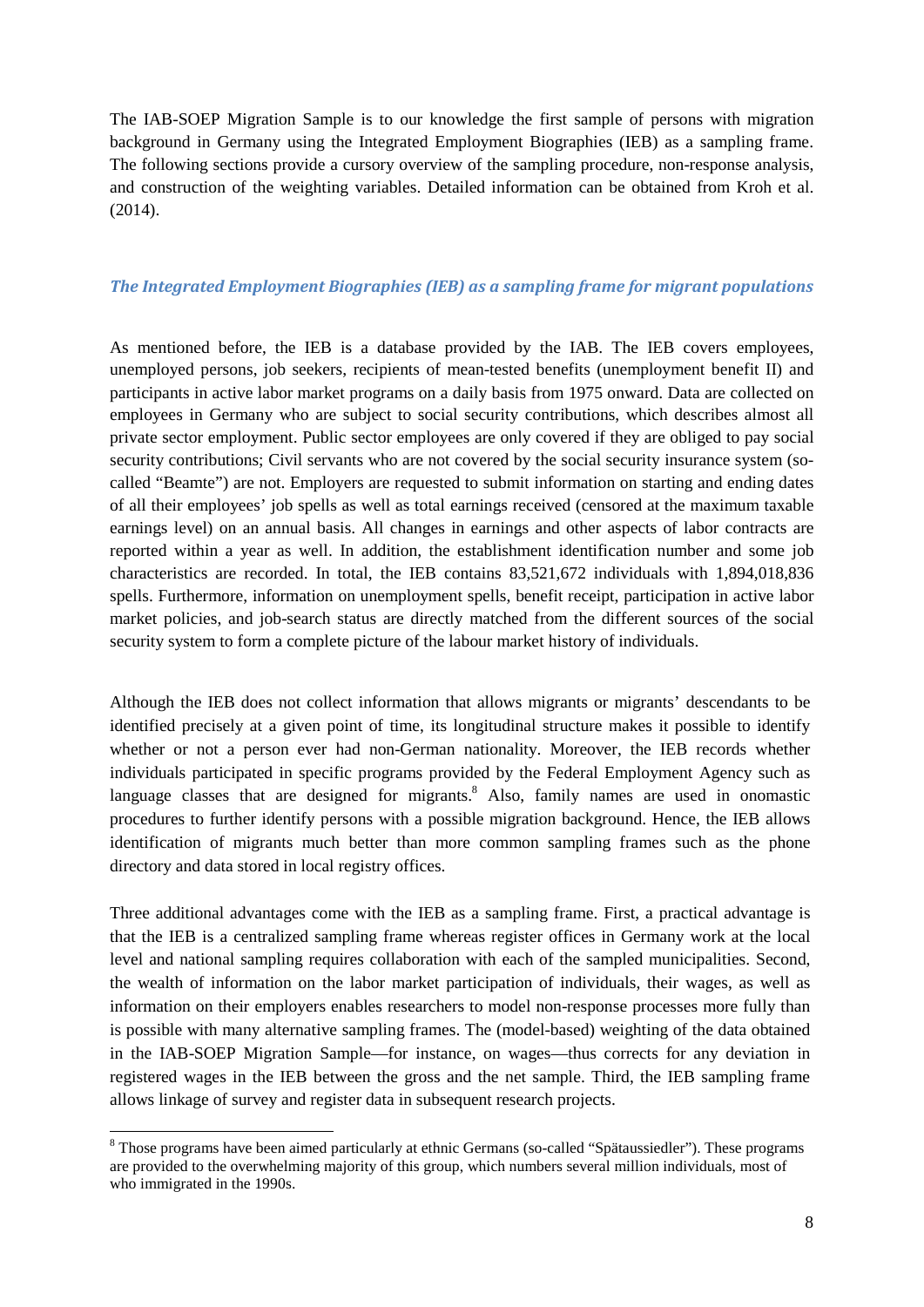The IAB-SOEP Migration Sample is to our knowledge the first sample of persons with migration background in Germany using the Integrated Employment Biographies (IEB) as a sampling frame. The following sections provide a cursory overview of the sampling procedure, non-response analysis, and construction of the weighting variables. Detailed information can be obtained from Kroh et al. (2014).

#### *The Integrated Employment Biographies (IEB) as a sampling frame for migrant populations*

As mentioned before, the IEB is a database provided by the IAB. The IEB covers employees, unemployed persons, job seekers, recipients of mean-tested benefits (unemployment benefit II) and participants in active labor market programs on a daily basis from 1975 onward. Data are collected on employees in Germany who are subject to social security contributions, which describes almost all private sector employment. Public sector employees are only covered if they are obliged to pay social security contributions; Civil servants who are not covered by the social security insurance system (socalled "Beamte") are not. Employers are requested to submit information on starting and ending dates of all their employees' job spells as well as total earnings received (censored at the maximum taxable earnings level) on an annual basis. All changes in earnings and other aspects of labor contracts are reported within a year as well. In addition, the establishment identification number and some job characteristics are recorded. In total, the IEB contains 83,521,672 individuals with 1,894,018,836 spells. Furthermore, information on unemployment spells, benefit receipt, participation in active labor market policies, and job-search status are directly matched from the different sources of the social security system to form a complete picture of the labour market history of individuals.

Although the IEB does not collect information that allows migrants or migrants' descendants to be identified precisely at a given point of time, its longitudinal structure makes it possible to identify whether or not a person ever had non-German nationality. Moreover, the IEB records whether individuals participated in specific programs provided by the Federal Employment Agency such as language classes that are designed for migrants.<sup>8</sup> Also, family names are used in onomastic procedures to further identify persons with a possible migration background. Hence, the IEB allows identification of migrants much better than more common sampling frames such as the phone directory and data stored in local registry offices.

Three additional advantages come with the IEB as a sampling frame. First, a practical advantage is that the IEB is a centralized sampling frame whereas register offices in Germany work at the local level and national sampling requires collaboration with each of the sampled municipalities. Second, the wealth of information on the labor market participation of individuals, their wages, as well as information on their employers enables researchers to model non-response processes more fully than is possible with many alternative sampling frames. The (model-based) weighting of the data obtained in the IAB-SOEP Migration Sample—for instance, on wages—thus corrects for any deviation in registered wages in the IEB between the gross and the net sample. Third, the IEB sampling frame allows linkage of survey and register data in subsequent research projects.

 <sup>8</sup> Those programs have been aimed particularly at ethnic Germans (so-called "Spätaussiedler"). These programs are provided to the overwhelming majority of this group, which numbers several million individuals, most of who immigrated in the 1990s.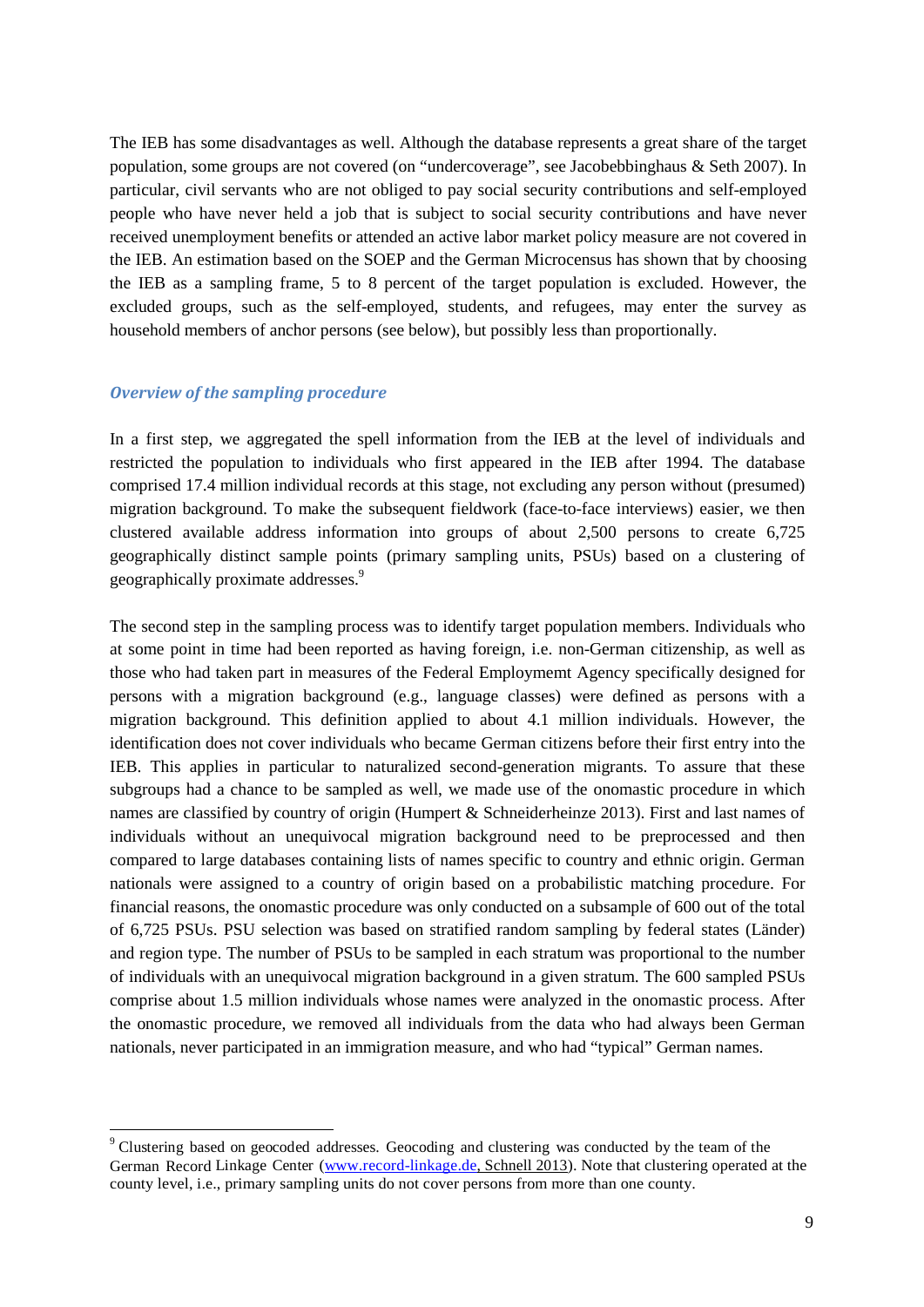The IEB has some disadvantages as well. Although the database represents a great share of the target population, some groups are not covered (on "undercoverage", see Jacobebbinghaus & Seth 2007). In particular, civil servants who are not obliged to pay social security contributions and self-employed people who have never held a job that is subject to social security contributions and have never received unemployment benefits or attended an active labor market policy measure are not covered in the IEB. An estimation based on the SOEP and the German Microcensus has shown that by choosing the IEB as a sampling frame, 5 to 8 percent of the target population is excluded. However, the excluded groups, such as the self-employed, students, and refugees, may enter the survey as household members of anchor persons (see below), but possibly less than proportionally.

#### *Overview of the sampling procedure*

In a first step, we aggregated the spell information from the IEB at the level of individuals and restricted the population to individuals who first appeared in the IEB after 1994. The database comprised 17.4 million individual records at this stage, not excluding any person without (presumed) migration background. To make the subsequent fieldwork (face-to-face interviews) easier, we then clustered available address information into groups of about 2,500 persons to create 6,725 geographically distinct sample points (primary sampling units, PSUs) based on a clustering of geographically proximate addresses.<sup>9</sup>

The second step in the sampling process was to identify target population members. Individuals who at some point in time had been reported as having foreign, i.e. non-German citizenship, as well as those who had taken part in measures of the Federal Employmemt Agency specifically designed for persons with a migration background (e.g., language classes) were defined as persons with a migration background. This definition applied to about 4.1 million individuals. However, the identification does not cover individuals who became German citizens before their first entry into the IEB. This applies in particular to naturalized second-generation migrants. To assure that these subgroups had a chance to be sampled as well, we made use of the onomastic procedure in which names are classified by country of origin (Humpert & Schneiderheinze 2013). First and last names of individuals without an unequivocal migration background need to be preprocessed and then compared to large databases containing lists of names specific to country and ethnic origin. German nationals were assigned to a country of origin based on a probabilistic matching procedure. For financial reasons, the onomastic procedure was only conducted on a subsample of 600 out of the total of 6,725 PSUs. PSU selection was based on stratified random sampling by federal states (Länder) and region type. The number of PSUs to be sampled in each stratum was proportional to the number of individuals with an unequivocal migration background in a given stratum. The 600 sampled PSUs comprise about 1.5 million individuals whose names were analyzed in the onomastic process. After the onomastic procedure, we removed all individuals from the data who had always been German nationals, never participated in an immigration measure, and who had "typical" German names.

 <sup>9</sup> Clustering based on geocoded addresses. Geocoding and clustering was conducted by the team of the German Record Linkage Center [\(www.record-linkage.de,](http://www.record-linkage.de/) Schnell 2013). Note that clustering operated at the county level, i.e., primary sampling units do not cover persons from more than one county.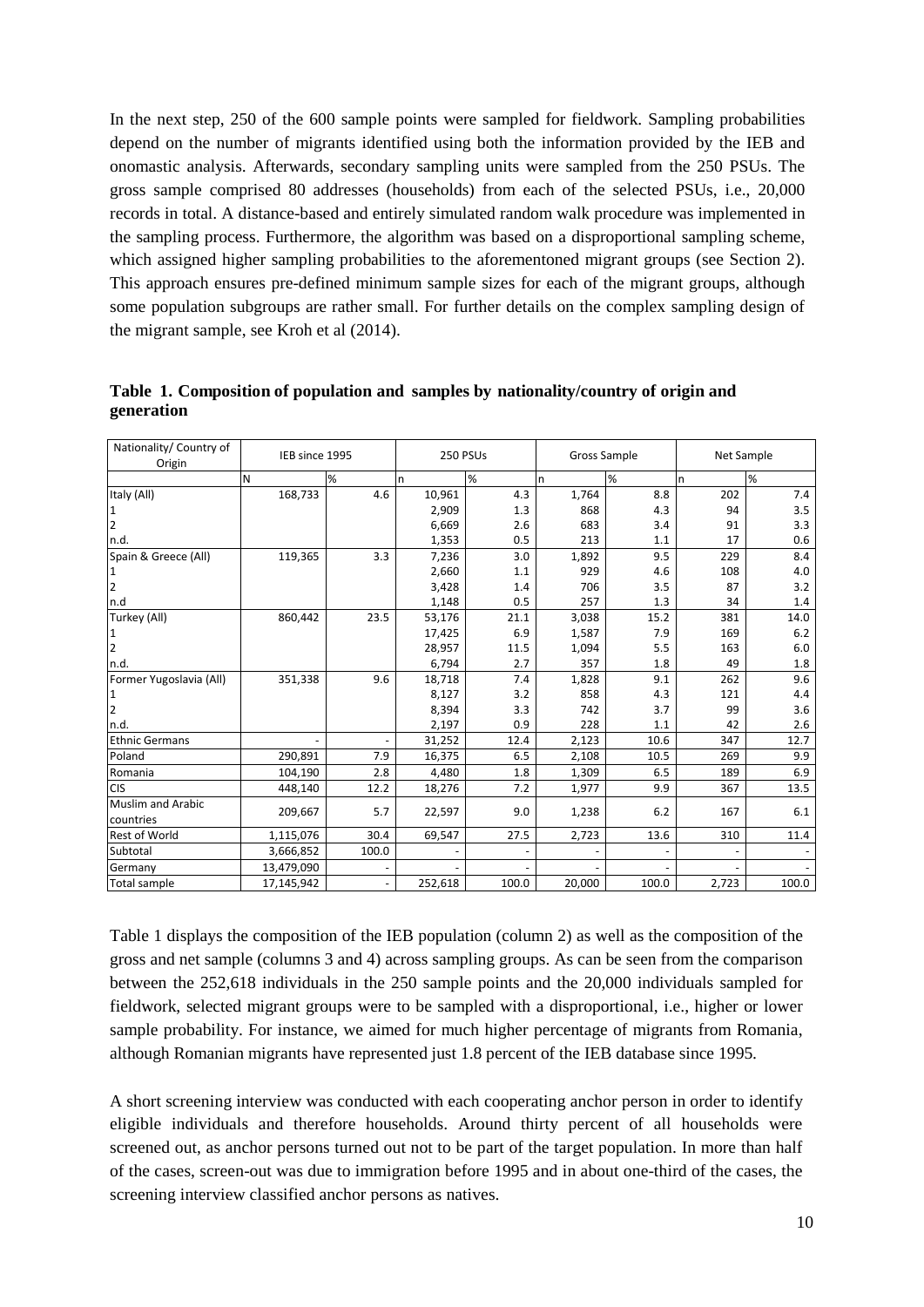In the next step, 250 of the 600 sample points were sampled for fieldwork. Sampling probabilities depend on the number of migrants identified using both the information provided by the IEB and onomastic analysis. Afterwards, secondary sampling units were sampled from the 250 PSUs. The gross sample comprised 80 addresses (households) from each of the selected PSUs, i.e., 20,000 records in total. A distance-based and entirely simulated random walk procedure was implemented in the sampling process. Furthermore, the algorithm was based on a disproportional sampling scheme, which assigned higher sampling probabilities to the aforementoned migrant groups (see Section 2). This approach ensures pre-defined minimum sample sizes for each of the migrant groups, although some population subgroups are rather small. For further details on the complex sampling design of the migrant sample, see Kroh et al (2014).

| Nationality/ Country of<br>Origin | IEB since 1995 |       | 250 PSUs |       | Gross Sample |       | Net Sample   |       |
|-----------------------------------|----------------|-------|----------|-------|--------------|-------|--------------|-------|
|                                   | N              | %     | n        | %     | <sub>n</sub> | %     | <sub>n</sub> | %     |
| Italy (All)                       | 168,733        | 4.6   | 10,961   | 4.3   | 1,764        | 8.8   | 202          | 7.4   |
| $\mathbf 1$                       |                |       | 2,909    | 1.3   | 868          | 4.3   | 94           | 3.5   |
| $\overline{2}$                    |                |       | 6,669    | 2.6   | 683          | 3.4   | 91           | 3.3   |
| n.d.                              |                |       | 1,353    | 0.5   | 213          | 1.1   | 17           | 0.6   |
| Spain & Greece (All)              | 119,365        | 3.3   | 7,236    | 3.0   | 1,892        | 9.5   | 229          | 8.4   |
| $\mathbf{1}$                      |                |       | 2,660    | 1.1   | 929          | 4.6   | 108          | 4.0   |
| $\overline{2}$                    |                |       | 3,428    | 1.4   | 706          | 3.5   | 87           | 3.2   |
| n.d                               |                |       | 1,148    | 0.5   | 257          | 1.3   | 34           | 1.4   |
| Turkey (All)                      | 860,442        | 23.5  | 53,176   | 21.1  | 3,038        | 15.2  | 381          | 14.0  |
| $\mathbf{1}$                      |                |       | 17,425   | 6.9   | 1,587        | 7.9   | 169          | 6.2   |
| $\overline{2}$                    |                |       | 28,957   | 11.5  | 1,094        | 5.5   | 163          | 6.0   |
| n.d.                              |                |       | 6,794    | 2.7   | 357          | 1.8   | 49           | 1.8   |
| Former Yugoslavia (All)           | 351,338        | 9.6   | 18,718   | 7.4   | 1,828        | 9.1   | 262          | 9.6   |
| $\mathbf{1}$                      |                |       | 8,127    | 3.2   | 858          | 4.3   | 121          | 4.4   |
| $\overline{2}$                    |                |       | 8,394    | 3.3   | 742          | 3.7   | 99           | 3.6   |
| n.d.                              |                |       | 2,197    | 0.9   | 228          | 1.1   | 42           | 2.6   |
| <b>Ethnic Germans</b>             |                |       | 31,252   | 12.4  | 2,123        | 10.6  | 347          | 12.7  |
| Poland                            | 290,891        | 7.9   | 16,375   | 6.5   | 2,108        | 10.5  | 269          | 9.9   |
| Romania                           | 104,190        | 2.8   | 4,480    | 1.8   | 1,309        | 6.5   | 189          | 6.9   |
| <b>CIS</b>                        | 448,140        | 12.2  | 18,276   | 7.2   | 1,977        | 9.9   | 367          | 13.5  |
| <b>Muslim and Arabic</b>          |                |       |          |       |              |       |              |       |
| countries                         | 209,667        | 5.7   | 22,597   | 9.0   | 1,238        | 6.2   | 167          | 6.1   |
| Rest of World                     | 1,115,076      | 30.4  | 69,547   | 27.5  | 2,723        | 13.6  | 310          | 11.4  |
| Subtotal                          | 3,666,852      | 100.0 |          |       |              |       |              |       |
| Germany                           | 13,479,090     |       |          |       |              |       |              |       |
| <b>Total sample</b>               | 17,145,942     |       | 252,618  | 100.0 | 20,000       | 100.0 | 2,723        | 100.0 |

**Table 1. Composition of population and samples by nationality/country of origin and generation**

Table 1 displays the composition of the IEB population (column 2) as well as the composition of the gross and net sample (columns 3 and 4) across sampling groups. As can be seen from the comparison between the 252,618 individuals in the 250 sample points and the 20,000 individuals sampled for fieldwork, selected migrant groups were to be sampled with a disproportional, i.e., higher or lower sample probability. For instance, we aimed for much higher percentage of migrants from Romania, although Romanian migrants have represented just 1.8 percent of the IEB database since 1995.

A short screening interview was conducted with each cooperating anchor person in order to identify eligible individuals and therefore households. Around thirty percent of all households were screened out, as anchor persons turned out not to be part of the target population. In more than half of the cases, screen-out was due to immigration before 1995 and in about one-third of the cases, the screening interview classified anchor persons as natives.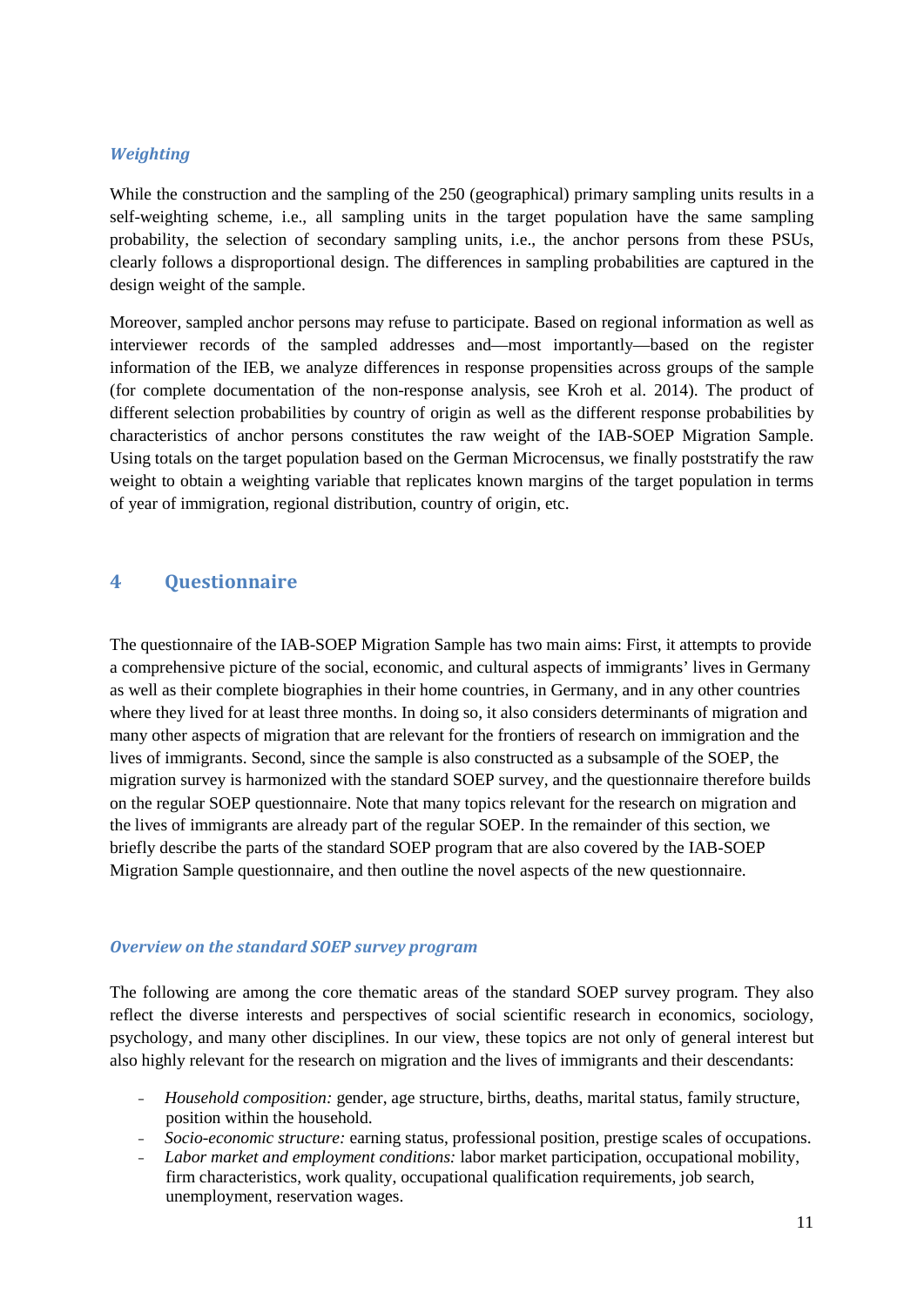#### *Weighting*

While the construction and the sampling of the 250 (geographical) primary sampling units results in a self-weighting scheme, i.e., all sampling units in the target population have the same sampling probability, the selection of secondary sampling units, i.e., the anchor persons from these PSUs, clearly follows a disproportional design. The differences in sampling probabilities are captured in the design weight of the sample.

Moreover, sampled anchor persons may refuse to participate. Based on regional information as well as interviewer records of the sampled addresses and—most importantly—based on the register information of the IEB, we analyze differences in response propensities across groups of the sample (for complete documentation of the non-response analysis, see Kroh et al. 2014). The product of different selection probabilities by country of origin as well as the different response probabilities by characteristics of anchor persons constitutes the raw weight of the IAB-SOEP Migration Sample. Using totals on the target population based on the German Microcensus, we finally poststratify the raw weight to obtain a weighting variable that replicates known margins of the target population in terms of year of immigration, regional distribution, country of origin, etc.

#### **4 Questionnaire**

The questionnaire of the IAB-SOEP Migration Sample has two main aims: First, it attempts to provide a comprehensive picture of the social, economic, and cultural aspects of immigrants' lives in Germany as well as their complete biographies in their home countries, in Germany, and in any other countries where they lived for at least three months. In doing so, it also considers determinants of migration and many other aspects of migration that are relevant for the frontiers of research on immigration and the lives of immigrants. Second, since the sample is also constructed as a subsample of the SOEP, the migration survey is harmonized with the standard SOEP survey, and the questionnaire therefore builds on the regular SOEP questionnaire. Note that many topics relevant for the research on migration and the lives of immigrants are already part of the regular SOEP. In the remainder of this section, we briefly describe the parts of the standard SOEP program that are also covered by the IAB-SOEP Migration Sample questionnaire, and then outline the novel aspects of the new questionnaire.

#### *Overview on the standard SOEP survey program*

The following are among the core thematic areas of the standard SOEP survey program. They also reflect the diverse interests and perspectives of social scientific research in economics, sociology, psychology, and many other disciplines. In our view, these topics are not only of general interest but also highly relevant for the research on migration and the lives of immigrants and their descendants:

- <sup>−</sup> *Household composition:* gender, age structure, births, deaths, marital status, family structure, position within the household.
- <sup>−</sup> *Socio-economic structure:* earning status, professional position, prestige scales of occupations.
- <sup>−</sup> *Labor market and employment conditions:* labor market participation, occupational mobility, firm characteristics, work quality, occupational qualification requirements, job search, unemployment, reservation wages.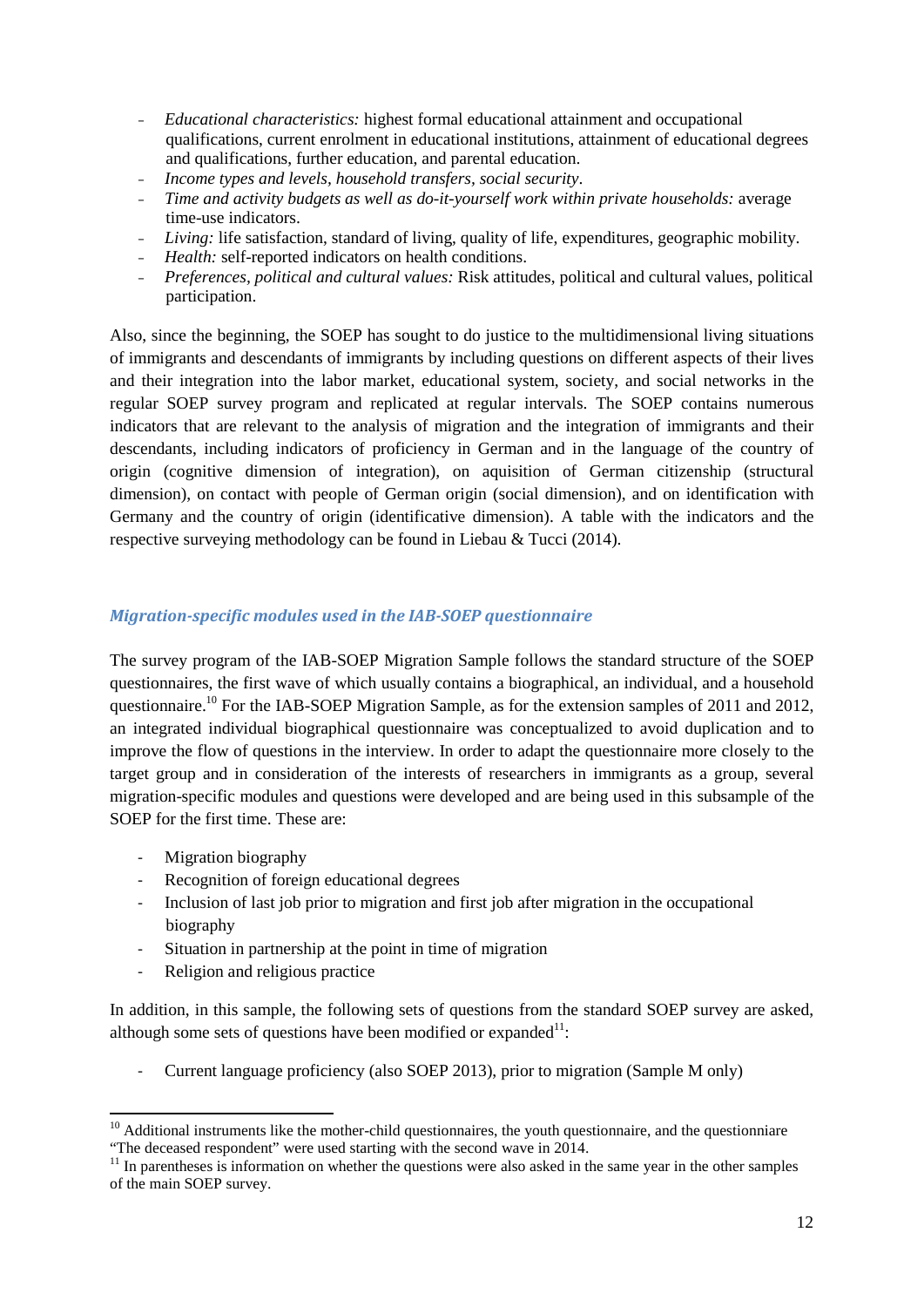- <sup>−</sup> *Educational characteristics:* highest formal educational attainment and occupational qualifications, current enrolment in educational institutions, attainment of educational degrees and qualifications, further education, and parental education.
- <sup>−</sup> *Income types and levels, household transfers, social security*.
- <sup>−</sup> *Time and activity budgets as well as do-it-yourself work within private households:* average time-use indicators.
- <sup>−</sup> *Living:* life satisfaction, standard of living, quality of life, expenditures, geographic mobility.
- <sup>−</sup> *Health:* self-reported indicators on health conditions.
- <sup>−</sup> *Preferences, political and cultural values:* Risk attitudes, political and cultural values, political participation.

Also, since the beginning, the SOEP has sought to do justice to the multidimensional living situations of immigrants and descendants of immigrants by including questions on different aspects of their lives and their integration into the labor market, educational system, society, and social networks in the regular SOEP survey program and replicated at regular intervals. The SOEP contains numerous indicators that are relevant to the analysis of migration and the integration of immigrants and their descendants, including indicators of proficiency in German and in the language of the country of origin (cognitive dimension of integration), on aquisition of German citizenship (structural dimension), on contact with people of German origin (social dimension), and on identification with Germany and the country of origin (identificative dimension). A table with the indicators and the respective surveying methodology can be found in Liebau & Tucci (2014).

#### *Migration-specific modules used in the IAB-SOEP questionnaire*

The survey program of the IAB-SOEP Migration Sample follows the standard structure of the SOEP questionnaires, the first wave of which usually contains a biographical, an individual, and a household questionnaire.<sup>10</sup> For the IAB-SOEP Migration Sample, as for the extension samples of 2011 and 2012, an integrated individual biographical questionnaire was conceptualized to avoid duplication and to improve the flow of questions in the interview. In order to adapt the questionnaire more closely to the target group and in consideration of the interests of researchers in immigrants as a group, several migration-specific modules and questions were developed and are being used in this subsample of the SOEP for the first time. These are:

- Migration biography
- Recognition of foreign educational degrees
- Inclusion of last job prior to migration and first job after migration in the occupational biography
- Situation in partnership at the point in time of migration
- Religion and religious practice

In addition, in this sample, the following sets of questions from the standard SOEP survey are asked, although some sets of questions have been modified or expanded $1$ :

- Current language proficiency (also SOEP 2013), prior to migration (Sample M only)

<sup>&</sup>lt;sup>10</sup> Additional instruments like the mother-child questionnaires, the youth questionnaire, and the questionniare "The deceased respondent" were used starting with the second wave in  $2014$ .

 $11$  In parentheses is information on whether the questions were also asked in the same year in the other samples of the main SOEP survey.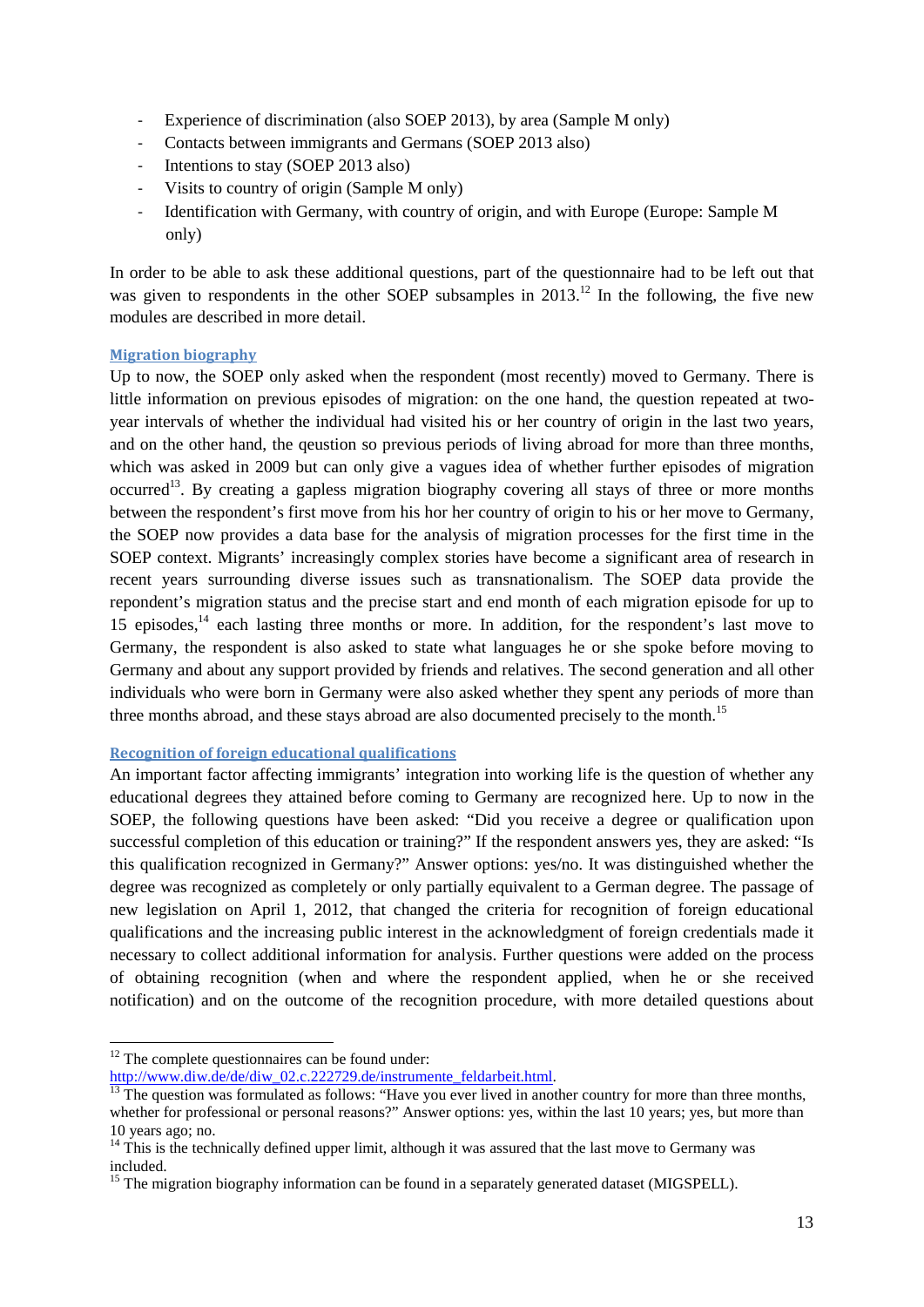- Experience of discrimination (also SOEP 2013), by area (Sample M only)
- Contacts between immigrants and Germans (SOEP 2013 also)
- Intentions to stay (SOEP 2013 also)
- Visits to country of origin (Sample M only)
- Identification with Germany, with country of origin, and with Europe (Europe: Sample M only)

In order to be able to ask these additional questions, part of the questionnaire had to be left out that was given to respondents in the other SOEP subsamples in  $2013$ <sup>12</sup>. In the following, the five new modules are described in more detail.

#### **Migration biography**

Up to now, the SOEP only asked when the respondent (most recently) moved to Germany. There is little information on previous episodes of migration: on the one hand, the question repeated at twoyear intervals of whether the individual had visited his or her country of origin in the last two years, and on the other hand, the qeustion so previous periods of living abroad for more than three months, which was asked in 2009 but can only give a vagues idea of whether further episodes of migration occurred<sup>13</sup>. By creating a gapless migration biography covering all stays of three or more months between the respondent's first move from his hor her country of origin to his or her move to Germany, the SOEP now provides a data base for the analysis of migration processes for the first time in the SOEP context. Migrants' increasingly complex stories have become a significant area of research in recent years surrounding diverse issues such as transnationalism. The SOEP data provide the repondent's migration status and the precise start and end month of each migration episode for up to 15 episodes,<sup>14</sup> each lasting three months or more. In addition, for the respondent's last move to Germany, the respondent is also asked to state what languages he or she spoke before moving to Germany and about any support provided by friends and relatives. The second generation and all other individuals who were born in Germany were also asked whether they spent any periods of more than three months abroad, and these stays abroad are also documented precisely to the month.<sup>15</sup>

#### **Recognition of foreign educational qualifications**

An important factor affecting immigrants' integration into working life is the question of whether any educational degrees they attained before coming to Germany are recognized here. Up to now in the SOEP, the following questions have been asked: "Did you receive a degree or qualification upon successful completion of this education or training?" If the respondent answers yes, they are asked: "Is this qualification recognized in Germany?" Answer options: yes/no. It was distinguished whether the degree was recognized as completely or only partially equivalent to a German degree. The passage of new legislation on April 1, 2012, that changed the criteria for recognition of foreign educational qualifications and the increasing public interest in the acknowledgment of foreign credentials made it necessary to collect additional information for analysis. Further questions were added on the process of obtaining recognition (when and where the respondent applied, when he or she received notification) and on the outcome of the recognition procedure, with more detailed questions about

 $12$  The complete questionnaires can be found under:

[http://www.diw.de/de/diw\\_02.c.222729.de/instrumente\\_feldarbeit.html.](http://www.diw.de/de/diw_02.c.222729.de/instrumente_feldarbeit.html)<br><sup>13</sup> The question was formulated as follows: "Have you ever lived in another country for more than three months, whether for professional or personal reasons?" Answer options: yes, within the last 10 years; yes, but more than 10 years ago; no.<br><sup>14</sup> This is the technically defined upper limit, although it was assured that the last move to Germany was

included. <sup>15</sup> The migration biography information can be found in a separately generated dataset (MIGSPELL).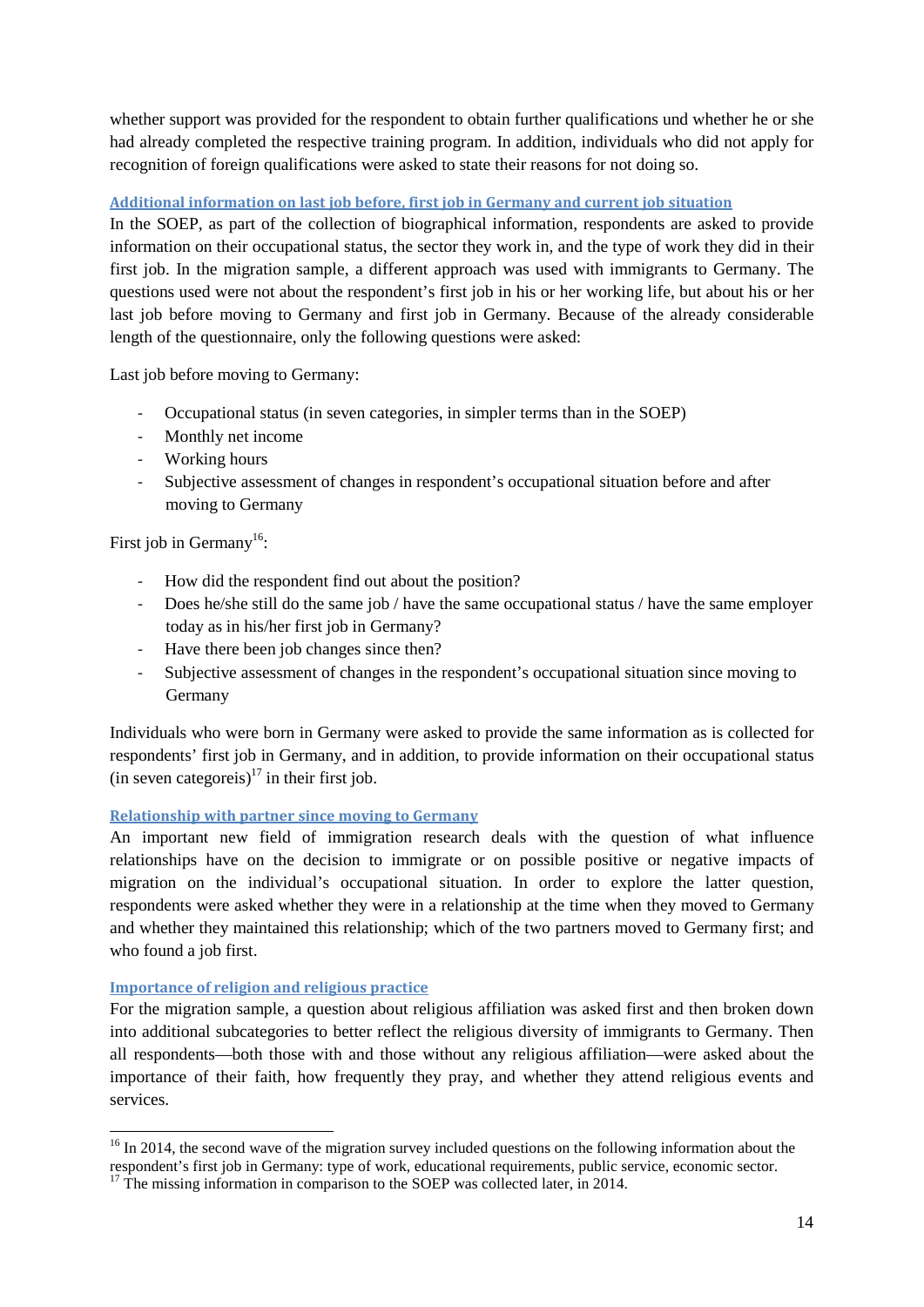whether support was provided for the respondent to obtain further qualifications und whether he or she had already completed the respective training program. In addition, individuals who did not apply for recognition of foreign qualifications were asked to state their reasons for not doing so.

#### **Additional information on last job before, first job in Germany and current job situation**

In the SOEP, as part of the collection of biographical information, respondents are asked to provide information on their occupational status, the sector they work in, and the type of work they did in their first job. In the migration sample, a different approach was used with immigrants to Germany. The questions used were not about the respondent's first job in his or her working life, but about his or her last job before moving to Germany and first job in Germany. Because of the already considerable length of the questionnaire, only the following questions were asked:

Last job before moving to Germany:

- Occupational status (in seven categories, in simpler terms than in the SOEP)
- Monthly net income
- Working hours
- Subjective assessment of changes in respondent's occupational situation before and after moving to Germany

First job in Germany<sup>16</sup>:

- How did the respondent find out about the position?
- Does he/she still do the same job / have the same occupational status / have the same employer today as in his/her first job in Germany?
- Have there been job changes since then?
- Subjective assessment of changes in the respondent's occupational situation since moving to Germany

Individuals who were born in Germany were asked to provide the same information as is collected for respondents' first job in Germany, and in addition, to provide information on their occupational status (in seven categoreis)<sup>17</sup> in their first job.

#### **Relationship with partner since moving to Germany**

An important new field of immigration research deals with the question of what influence relationships have on the decision to immigrate or on possible positive or negative impacts of migration on the individual's occupational situation. In order to explore the latter question, respondents were asked whether they were in a relationship at the time when they moved to Germany and whether they maintained this relationship; which of the two partners moved to Germany first; and who found a job first.

#### **Importance of religion and religious practice**

For the migration sample, a question about religious affiliation was asked first and then broken down into additional subcategories to better reflect the religious diversity of immigrants to Germany. Then all respondents—both those with and those without any religious affiliation—were asked about the importance of their faith, how frequently they pray, and whether they attend religious events and services.

 $16$  In 2014, the second wave of the migration survey included questions on the following information about the respondent's first iob in Germany: type of work, educational requirements, public service, economic sector.

<sup>&</sup>lt;sup>17</sup> The missing information in comparison to the SOEP was collected later, in 2014.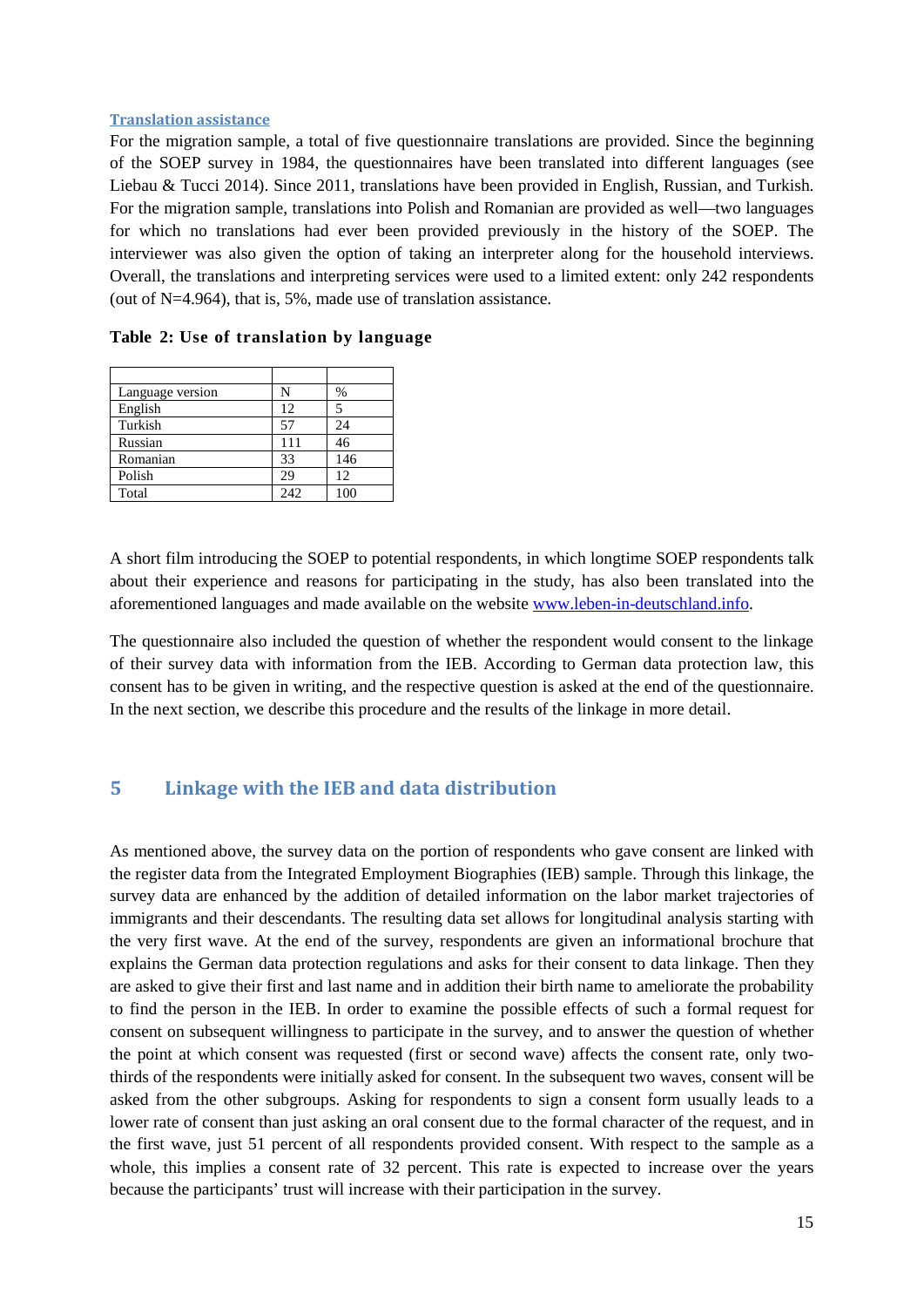#### **Translation assistance**

For the migration sample, a total of five questionnaire translations are provided. Since the beginning of the SOEP survey in 1984, the questionnaires have been translated into different languages (see Liebau & Tucci 2014). Since 2011, translations have been provided in English, Russian, and Turkish. For the migration sample, translations into Polish and Romanian are provided as well—two languages for which no translations had ever been provided previously in the history of the SOEP. The interviewer was also given the option of taking an interpreter along for the household interviews. Overall, the translations and interpreting services were used to a limited extent: only 242 respondents (out of N=4.964), that is, 5%, made use of translation assistance.

| Language version | N   | %   |
|------------------|-----|-----|
| English          | 12  | 5   |
| Turkish          | 57  | 24  |
| Russian          | 111 | 46  |
| Romanian         | 33  | 146 |
| Polish           | 29  | 12  |
| Total            | 242 | 100 |

**Table 2: Use of translation by language** 

A short film introducing the SOEP to potential respondents, in which longtime SOEP respondents talk about their experience and reasons for participating in the study, has also been translated into the aforementioned languages and made available on the website [www.leben-in-deutschland.info.](http://www.leben-in-deutschland.info/)

The questionnaire also included the question of whether the respondent would consent to the linkage of their survey data with information from the IEB. According to German data protection law, this consent has to be given in writing, and the respective question is asked at the end of the questionnaire. In the next section, we describe this procedure and the results of the linkage in more detail.

#### **5 Linkage with the IEB and data distribution**

As mentioned above, the survey data on the portion of respondents who gave consent are linked with the register data from the Integrated Employment Biographies (IEB) sample. Through this linkage, the survey data are enhanced by the addition of detailed information on the labor market trajectories of immigrants and their descendants. The resulting data set allows for longitudinal analysis starting with the very first wave. At the end of the survey, respondents are given an informational brochure that explains the German data protection regulations and asks for their consent to data linkage. Then they are asked to give their first and last name and in addition their birth name to ameliorate the probability to find the person in the IEB. In order to examine the possible effects of such a formal request for consent on subsequent willingness to participate in the survey, and to answer the question of whether the point at which consent was requested (first or second wave) affects the consent rate, only twothirds of the respondents were initially asked for consent. In the subsequent two waves, consent will be asked from the other subgroups. Asking for respondents to sign a consent form usually leads to a lower rate of consent than just asking an oral consent due to the formal character of the request, and in the first wave, just 51 percent of all respondents provided consent. With respect to the sample as a whole, this implies a consent rate of 32 percent. This rate is expected to increase over the years because the participants' trust will increase with their participation in the survey.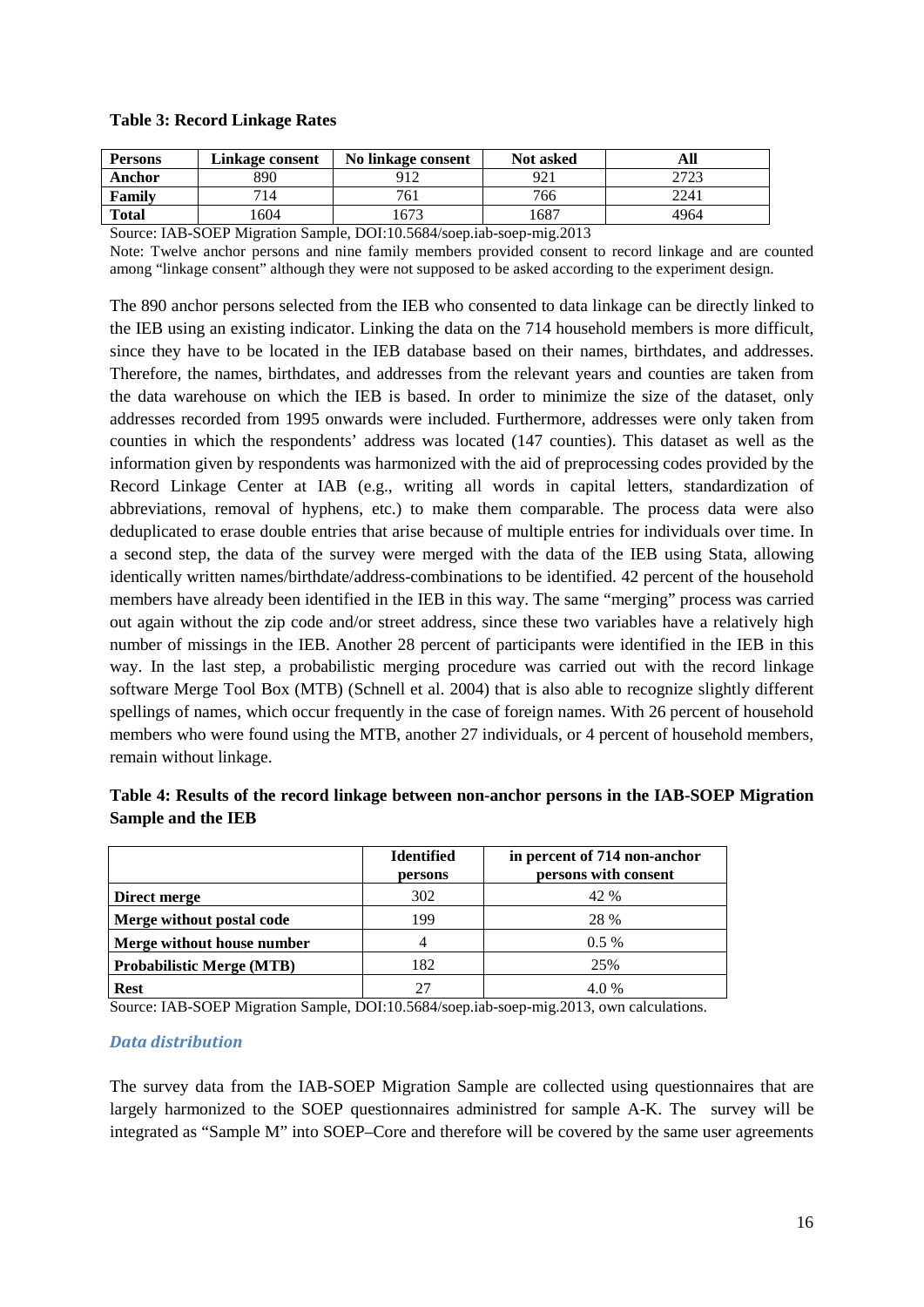#### **Table 3: Record Linkage Rates**

| <b>Persons</b> | Linkage consent | No linkage consent | <b>Not asked</b> | All                     |
|----------------|-----------------|--------------------|------------------|-------------------------|
| Anchor         | 890             | Q12                | റി               | <b>מריח</b><br>ن کے ایک |
| Family         | 714             | 761                | 766              | 2241                    |
| <b>Total</b>   | 604             | 673                | 1687             | 4964                    |

Source: IAB-SOEP Migration Sample, DOI:10.5684/soep.iab-soep-mig.2013

Note: Twelve anchor persons and nine family members provided consent to record linkage and are counted among "linkage consent" although they were not supposed to be asked according to the experiment design.

The 890 anchor persons selected from the IEB who consented to data linkage can be directly linked to the IEB using an existing indicator. Linking the data on the 714 household members is more difficult, since they have to be located in the IEB database based on their names, birthdates, and addresses. Therefore, the names, birthdates, and addresses from the relevant years and counties are taken from the data warehouse on which the IEB is based. In order to minimize the size of the dataset, only addresses recorded from 1995 onwards were included. Furthermore, addresses were only taken from counties in which the respondents' address was located (147 counties). This dataset as well as the information given by respondents was harmonized with the aid of preprocessing codes provided by the Record Linkage Center at IAB (e.g., writing all words in capital letters, standardization of abbreviations, removal of hyphens, etc.) to make them comparable. The process data were also deduplicated to erase double entries that arise because of multiple entries for individuals over time. In a second step, the data of the survey were merged with the data of the IEB using Stata, allowing identically written names/birthdate/address-combinations to be identified. 42 percent of the household members have already been identified in the IEB in this way. The same "merging" process was carried out again without the zip code and/or street address, since these two variables have a relatively high number of missings in the IEB. Another 28 percent of participants were identified in the IEB in this way. In the last step, a probabilistic merging procedure was carried out with the record linkage software Merge Tool Box (MTB) (Schnell et al. 2004) that is also able to recognize slightly different spellings of names, which occur frequently in the case of foreign names. With 26 percent of household members who were found using the MTB, another 27 individuals, or 4 percent of household members, remain without linkage.

|                                  | <b>Identified</b><br>persons | in percent of 714 non-anchor<br>persons with consent |
|----------------------------------|------------------------------|------------------------------------------------------|
| Direct merge                     | 302                          | 42 %                                                 |
| Merge without postal code        | 199                          | 28 %                                                 |
| Merge without house number       | 4                            | $0.5\%$                                              |
| <b>Probabilistic Merge (MTB)</b> | 182                          | 25%                                                  |
| <b>Rest</b>                      | 27                           | 4.0 %                                                |

**Table 4: Results of the record linkage between non-anchor persons in the IAB-SOEP Migration Sample and the IEB** 

Source: IAB-SOEP Migration Sample, DOI:10.5684/soep.iab-soep-mig.2013, own calculations.

#### *Data distribution*

The survey data from the IAB-SOEP Migration Sample are collected using questionnaires that are largely harmonized to the SOEP questionnaires administred for sample A-K. The survey will be integrated as "Sample M" into SOEP–Core and therefore will be covered by the same user agreements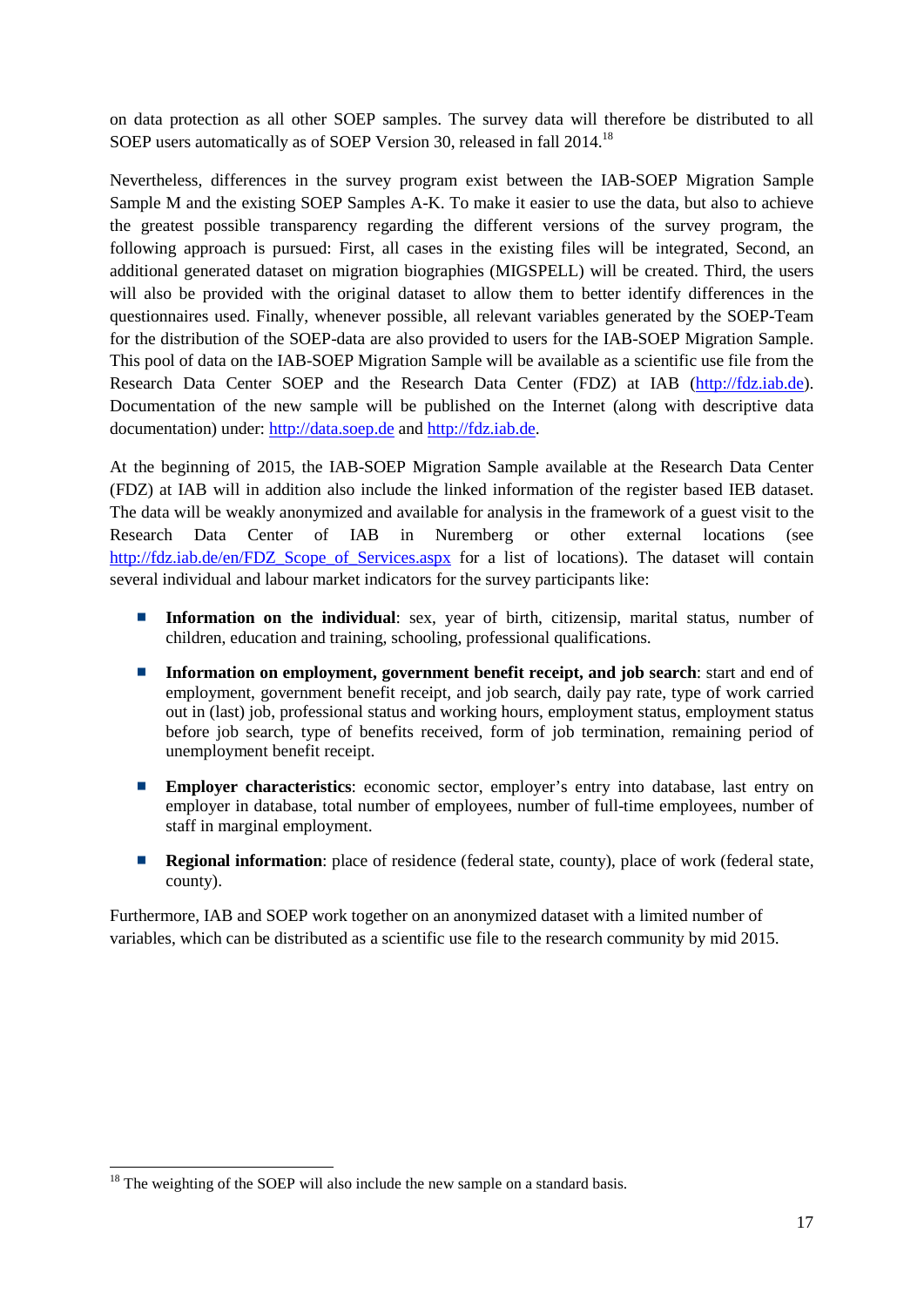on data protection as all other SOEP samples. The survey data will therefore be distributed to all SOEP users automatically as of SOEP Version 30, released in fall 2014.<sup>18</sup>

Nevertheless, differences in the survey program exist between the IAB-SOEP Migration Sample Sample M and the existing SOEP Samples A-K. To make it easier to use the data, but also to achieve the greatest possible transparency regarding the different versions of the survey program, the following approach is pursued: First, all cases in the existing files will be integrated, Second, an additional generated dataset on migration biographies (MIGSPELL) will be created. Third, the users will also be provided with the original dataset to allow them to better identify differences in the questionnaires used. Finally, whenever possible, all relevant variables generated by the SOEP-Team for the distribution of the SOEP-data are also provided to users for the IAB-SOEP Migration Sample. This pool of data on the IAB-SOEP Migration Sample will be available as a scientific use file from the Research Data Center SOEP and the Research Data Center (FDZ) at IAB [\(http://fdz.iab.de\)](http://fdz.iab.de/). Documentation of the new sample will be published on the Internet (along with descriptive data documentation) under: [http://data.soep.de](http://data.soep.de/) and [http://fdz.iab.de.](http://fdz.iab.de/)

At the beginning of 2015, the IAB-SOEP Migration Sample available at the Research Data Center (FDZ) at IAB will in addition also include the linked information of the register based IEB dataset. The data will be weakly anonymized and available for analysis in the framework of a guest visit to the Research Data Center of IAB in Nuremberg or other external locations (see [http://fdz.iab.de/en/FDZ\\_Scope\\_of\\_Services.aspx](http://fdz.iab.de/en/FDZ_Scope_of_Services.aspx) for a list of locations). The dataset will contain several individual and labour market indicators for the survey participants like:

- **Information on the individual:** sex, year of birth, citizensip, marital status, number of children, education and training, schooling, professional qualifications.
- **Information on employment, government benefit receipt, and job search**: start and end of employment, government benefit receipt, and job search, daily pay rate, type of work carried out in (last) job, professional status and working hours, employment status, employment status before job search, type of benefits received, form of job termination, remaining period of unemployment benefit receipt.
- $\overline{\phantom{a}}$ **Employer characteristics**: economic sector, employer's entry into database, last entry on employer in database, total number of employees, number of full-time employees, number of staff in marginal employment.
- $\overline{\phantom{a}}$ **Regional information**: place of residence (federal state, county), place of work (federal state, county).

Furthermore, IAB and SOEP work together on an anonymized dataset with a limited number of variables, which can be distributed as a scientific use file to the research community by mid 2015.

 $18$  The weighting of the SOEP will also include the new sample on a standard basis.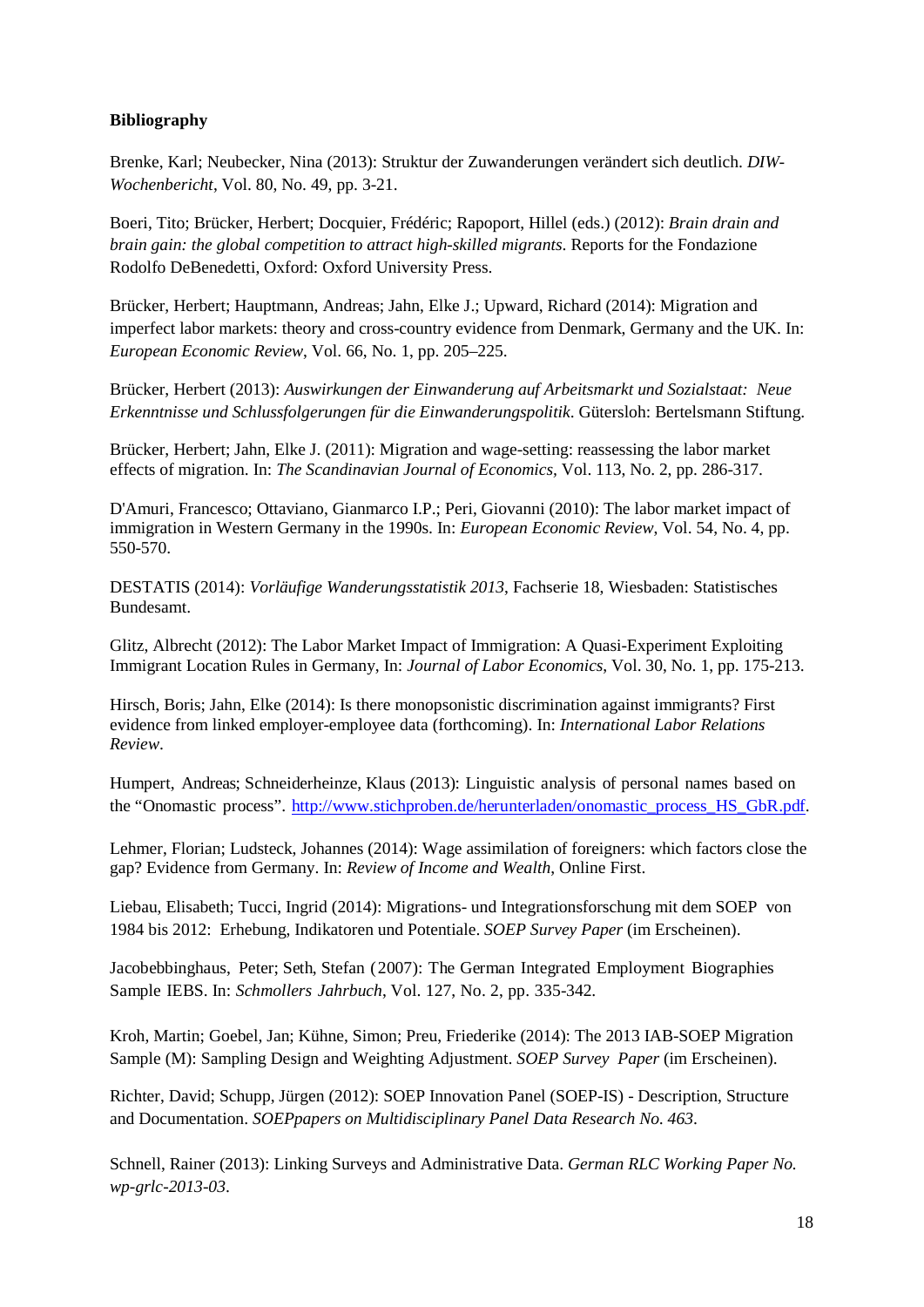#### **Bibliography**

Brenke, Karl; Neubecker, Nina (2013): Struktur der Zuwanderungen verändert sich deutlich. *DIW-Wochenbericht*, Vol. 80, No. 49, pp. 3-21.

Boeri, Tito; Brücker, Herbert; Docquier, Frédéric; Rapoport, Hillel (eds.) (2012): *Brain drain and brain gain: the global competition to attract high-skilled migrants*. Reports for the Fondazione Rodolfo DeBenedetti, Oxford: Oxford University Press.

Brücker, Herbert; Hauptmann, Andreas; Jahn, Elke J.; Upward, Richard (2014): Migration and imperfect labor markets: theory and cross-country evidence from Denmark, Germany and the UK. In: *European Economic Review*, Vol. 66, No. 1, pp. 205–225.

Brücker, Herbert (2013): *Auswirkungen der Einwanderung auf Arbeitsmarkt und Sozialstaat: Neue Erkenntnisse und Schlussfolgerungen für die Einwanderungspolitik*. Gütersloh: Bertelsmann Stiftung.

Brücker, Herbert; Jahn, Elke J. (2011): Migration and wage-setting: reassessing the labor market effects of migration. In: *The Scandinavian Journal of Economics,* Vol. 113, No. 2, pp. 286-317.

D'Amuri, Francesco; Ottaviano, Gianmarco I.P.; Peri, Giovanni (2010): [The labor market impact of](http://ideas.repec.org/a/eee/eecrev/v54y2010i4p550-570.html)  [immigration in Western Germany in the 1990s.](http://ideas.repec.org/a/eee/eecrev/v54y2010i4p550-570.html) In: *[European Economic Review](http://ideas.repec.org/s/eee/eecrev.html)*, Vol. 54, No. 4, pp. 550-570.

DESTATIS (2014): *Vorläufige Wanderungsstatistik 2013*, Fachserie 18, Wiesbaden: Statistisches Bundesamt.

Glitz, Albrecht (2012): The Labor Market Impact of Immigration: A Quasi-Experiment Exploiting Immigrant Location Rules in Germany, In: *Journal of Labor Economics*, Vol. 30, No. 1, pp. 175-213.

Hirsch, Boris; Jahn, Elke (2014): Is there monopsonistic discrimination against immigrants? First evidence from linked employer-employee data (forthcoming). In: *International Labor Relations Review*.

Humpert, Andreas; Schneiderheinze, Klaus (2013): Linguistic analysis of personal names based on the "Onomastic process". [http://www.stichproben.de/herunterladen/onomastic\\_process\\_HS\\_GbR.pdf.](http://www.stichproben.de/herunterladen/onomastic_process_HS_GbR.pdf)

Lehmer, Florian; Ludsteck, Johannes (2014): Wage assimilation of foreigners: which factors close the gap? Evidence from Germany. In: *Review of Income and Wealth*, Online First.

Liebau, Elisabeth; Tucci, Ingrid (2014): Migrations- und Integrationsforschung mit dem SOEP von 1984 bis 2012: Erhebung, Indikatoren und Potentiale. *SOEP Survey Paper* (im Erscheinen).

Jacobebbinghaus, Peter; Seth, Stefan (2007): The German Integrated Employment Biographies Sample IEBS. In: *Schmollers Jahrbuch*, Vol. 127, No. 2, pp. 335-342.

Kroh, Martin; Goebel, Jan; Kühne, Simon; Preu, Friederike (2014): The 2013 IAB-SOEP Migration Sample (M): Sampling Design and Weighting Adjustment. *SOEP Survey Paper* (im Erscheinen).

Richter, David; Schupp, Jürgen (2012): SOEP Innovation Panel (SOEP-IS) - Description, Structure and Documentation. *SOEPpapers on Multidisciplinary Panel Data Research No. 463*.

Schnell, Rainer (2013): Linking Surveys and Administrative Data. *German RLC Working Paper No. wp-grlc-2013-03*.